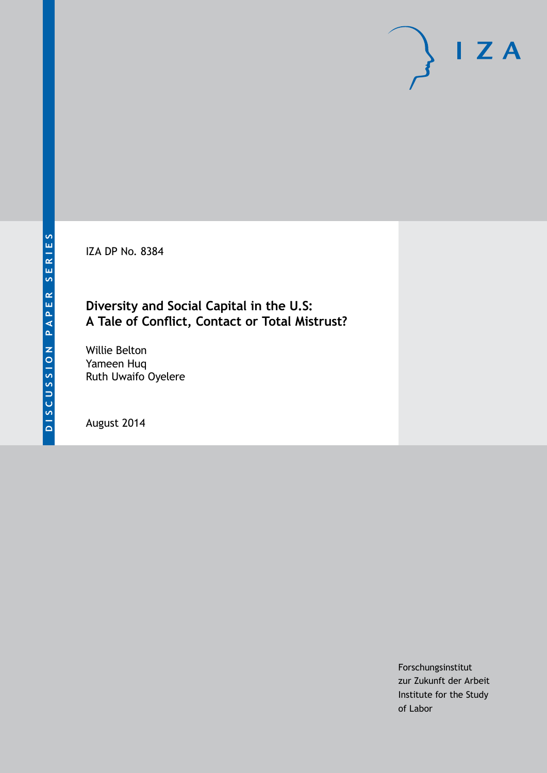IZA DP No. 8384

# **Diversity and Social Capital in the U.S: A Tale of Conflict, Contact or Total Mistrust?**

Willie Belton Yameen Huq Ruth Uwaifo Oyelere

August 2014

Forschungsinstitut zur Zukunft der Arbeit Institute for the Study of Labor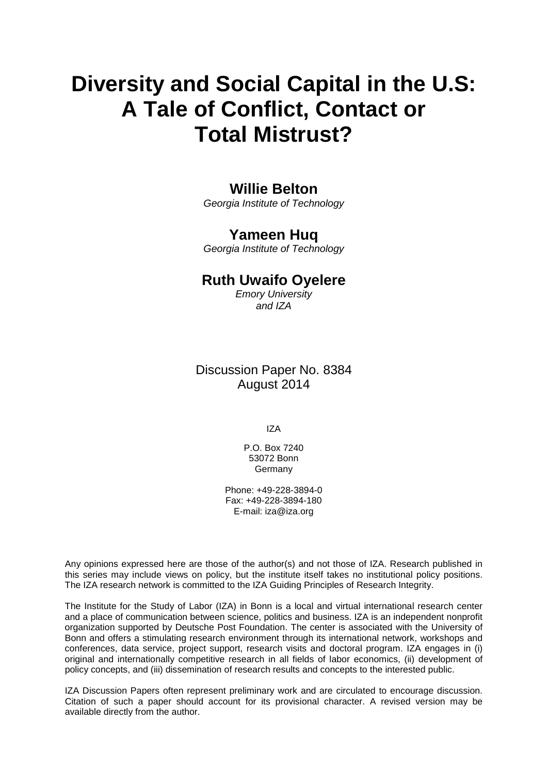# **Diversity and Social Capital in the U.S: A Tale of Conflict, Contact or Total Mistrust?**

# **Willie Belton**

*Georgia Institute of Technology*

# **Yameen Huq**

*Georgia Institute of Technology*

# **Ruth Uwaifo Oyelere**

*Emory University and IZA*

Discussion Paper No. 8384 August 2014

IZA

P.O. Box 7240 53072 Bonn Germany

Phone: +49-228-3894-0 Fax: +49-228-3894-180 E-mail: [iza@iza.org](mailto:iza@iza.org)

Any opinions expressed here are those of the author(s) and not those of IZA. Research published in this series may include views on policy, but the institute itself takes no institutional policy positions. The IZA research network is committed to the IZA Guiding Principles of Research Integrity.

The Institute for the Study of Labor (IZA) in Bonn is a local and virtual international research center and a place of communication between science, politics and business. IZA is an independent nonprofit organization supported by Deutsche Post Foundation. The center is associated with the University of Bonn and offers a stimulating research environment through its international network, workshops and conferences, data service, project support, research visits and doctoral program. IZA engages in (i) original and internationally competitive research in all fields of labor economics, (ii) development of policy concepts, and (iii) dissemination of research results and concepts to the interested public.

IZA Discussion Papers often represent preliminary work and are circulated to encourage discussion. Citation of such a paper should account for its provisional character. A revised version may be available directly from the author.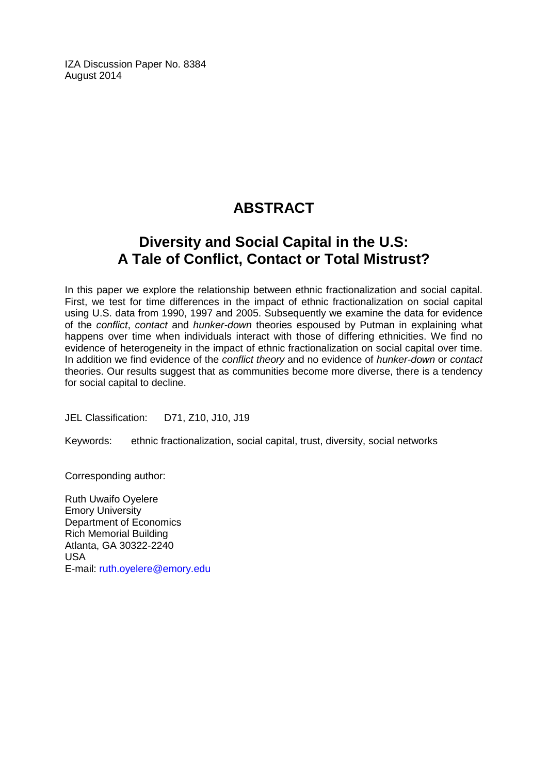IZA Discussion Paper No. 8384 August 2014

# **ABSTRACT**

# **Diversity and Social Capital in the U.S: A Tale of Conflict, Contact or Total Mistrust?**

In this paper we explore the relationship between ethnic fractionalization and social capital. First, we test for time differences in the impact of ethnic fractionalization on social capital using U.S. data from 1990, 1997 and 2005. Subsequently we examine the data for evidence of the *conflict*, *contact* and *hunker-down* theories espoused by Putman in explaining what happens over time when individuals interact with those of differing ethnicities. We find no evidence of heterogeneity in the impact of ethnic fractionalization on social capital over time. In addition we find evidence of the *conflict theory* and no evidence of *hunker-down* or *contact* theories. Our results suggest that as communities become more diverse, there is a tendency for social capital to decline.

JEL Classification: D71, Z10, J10, J19

Keywords: ethnic fractionalization, social capital, trust, diversity, social networks

Corresponding author:

Ruth Uwaifo Oyelere Emory University Department of Economics Rich Memorial Building Atlanta, GA 30322-2240 USA E-mail: [ruth.oyelere@emory.edu](mailto:ruth.oyelere@emory.edu)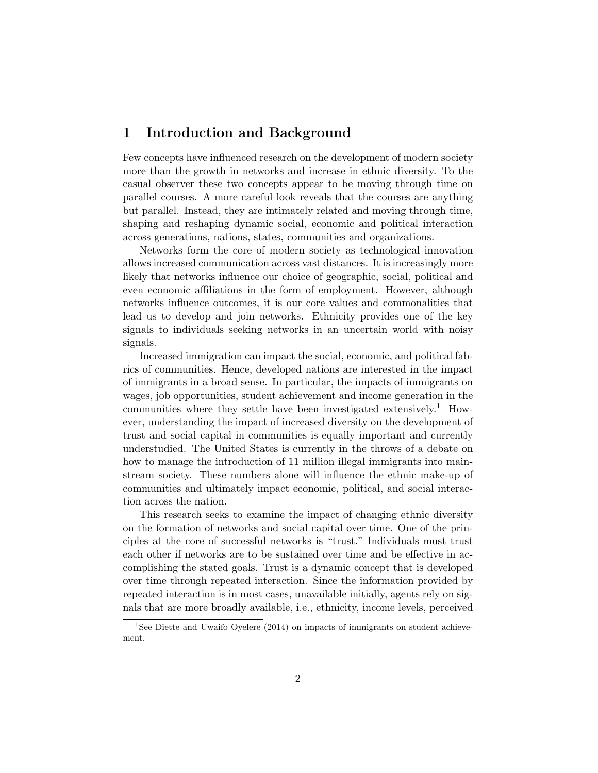# **1 Introduction and Background**

Few concepts have influenced research on the development of modern society more than the growth in networks and increase in ethnic diversity. To the casual observer these two concepts appear to be moving through time on parallel courses. A more careful look reveals that the courses are anything but parallel. Instead, they are intimately related and moving through time, shaping and reshaping dynamic social, economic and political interaction across generations, nations, states, communities and organizations.

Networks form the core of modern society as technological innovation allows increased communication across vast distances. It is increasingly more likely that networks influence our choice of geographic, social, political and even economic affiliations in the form of employment. However, although networks influence outcomes, it is our core values and commonalities that lead us to develop and join networks. Ethnicity provides one of the key signals to individuals seeking networks in an uncertain world with noisy signals.

Increased immigration can impact the social, economic, and political fabrics of communities. Hence, developed nations are interested in the impact of immigrants in a broad sense. In particular, the impacts of immigrants on wages, job opportunities, student achievement and income generation in the communities where they settle have been investigated extensively.<sup>1</sup> However, understanding the impact of increased diversity on the development of trust and social capital in communities is equally important and currently understudied. The United States is currently in the throws of a debate on how to manage the introduction of 11 million illegal immigrants into mainstream society. These numbers alone will influence the ethnic make-up of communities and ultimately impact economic, political, and social interaction across the nation.

This research seeks to examine the impact of changing ethnic diversity on the formation of networks and social capital over time. One of the principles at the core of successful networks is "trust." Individuals must trust each other if networks are to be sustained over time and be effective in accomplishing the stated goals. Trust is a dynamic concept that is developed over time through repeated interaction. Since the information provided by repeated interaction is in most cases, unavailable initially, agents rely on signals that are more broadly available, i.e., ethnicity, income levels, perceived

<sup>&</sup>lt;sup>1</sup>See Diette and Uwaifo Oyelere (2014) on impacts of immigrants on student achievement.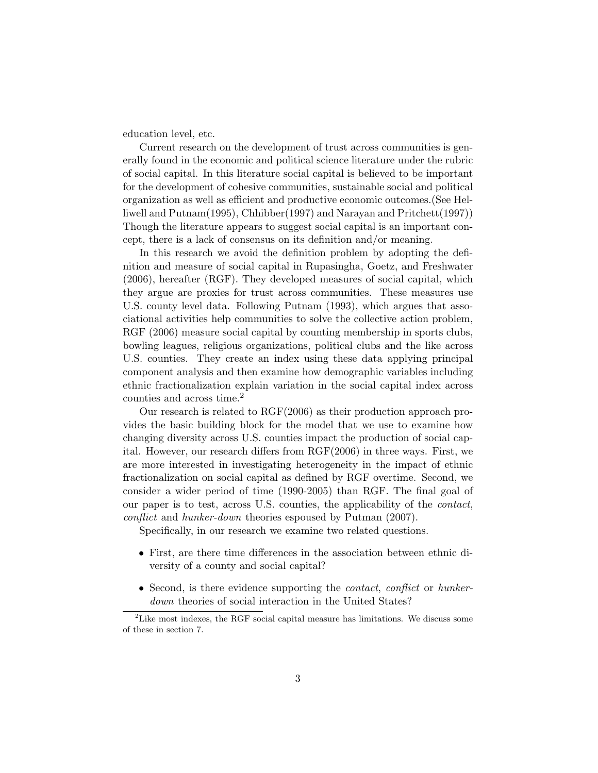education level, etc.

Current research on the development of trust across communities is generally found in the economic and political science literature under the rubric of social capital. In this literature social capital is believed to be important for the development of cohesive communities, sustainable social and political organization as well as efficient and productive economic outcomes.(See Helliwell and Putnam(1995), Chhibber(1997) and Narayan and Pritchett(1997)) Though the literature appears to suggest social capital is an important concept, there is a lack of consensus on its definition and/or meaning.

In this research we avoid the definition problem by adopting the definition and measure of social capital in Rupasingha, Goetz, and Freshwater (2006), hereafter (RGF). They developed measures of social capital, which they argue are proxies for trust across communities. These measures use U.S. county level data. Following Putnam (1993), which argues that associational activities help communities to solve the collective action problem, RGF (2006) measure social capital by counting membership in sports clubs, bowling leagues, religious organizations, political clubs and the like across U.S. counties. They create an index using these data applying principal component analysis and then examine how demographic variables including ethnic fractionalization explain variation in the social capital index across counties and across time.<sup>2</sup>

Our research is related to RGF(2006) as their production approach provides the basic building block for the model that we use to examine how changing diversity across U.S. counties impact the production of social capital. However, our research differs from RGF(2006) in three ways. First, we are more interested in investigating heterogeneity in the impact of ethnic fractionalization on social capital as defined by RGF overtime. Second, we consider a wider period of time (1990-2005) than RGF. The final goal of our paper is to test, across U.S. counties, the applicability of the *contact*, *conflict* and *hunker-down* theories espoused by Putman (2007).

Specifically, in our research we examine two related questions.

- *•* First, are there time differences in the association between ethnic diversity of a county and social capital?
- *•* Second, is there evidence supporting the *contact*, *conflict* or *hunkerdown* theories of social interaction in the United States?

<sup>&</sup>lt;sup>2</sup>Like most indexes, the RGF social capital measure has limitations. We discuss some of these in section 7.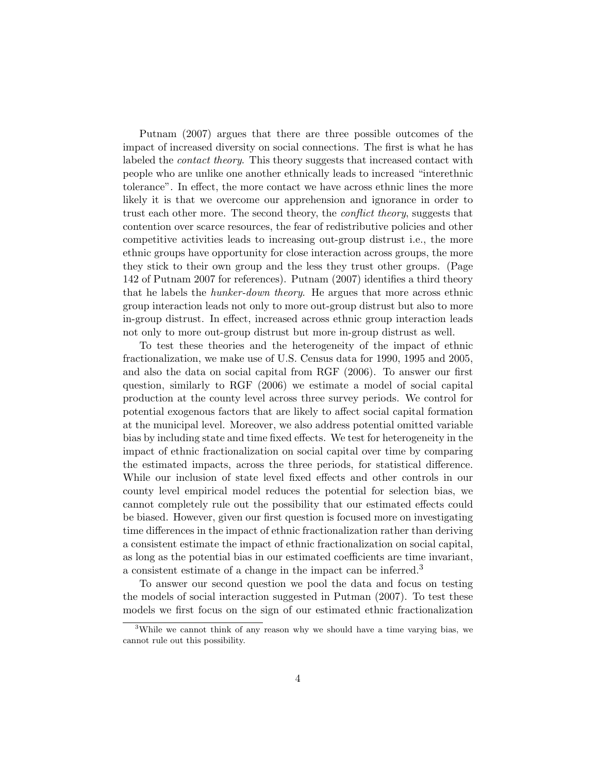Putnam (2007) argues that there are three possible outcomes of the impact of increased diversity on social connections. The first is what he has labeled the *contact theory*. This theory suggests that increased contact with people who are unlike one another ethnically leads to increased "interethnic tolerance". In effect, the more contact we have across ethnic lines the more likely it is that we overcome our apprehension and ignorance in order to trust each other more. The second theory, the *conflict theory*, suggests that contention over scarce resources, the fear of redistributive policies and other competitive activities leads to increasing out-group distrust i.e., the more ethnic groups have opportunity for close interaction across groups, the more they stick to their own group and the less they trust other groups. (Page 142 of Putnam 2007 for references). Putnam (2007) identifies a third theory that he labels the *hunker-down theory*. He argues that more across ethnic group interaction leads not only to more out-group distrust but also to more in-group distrust. In effect, increased across ethnic group interaction leads not only to more out-group distrust but more in-group distrust as well.

To test these theories and the heterogeneity of the impact of ethnic fractionalization, we make use of U.S. Census data for 1990, 1995 and 2005, and also the data on social capital from RGF (2006). To answer our first question, similarly to RGF (2006) we estimate a model of social capital production at the county level across three survey periods. We control for potential exogenous factors that are likely to affect social capital formation at the municipal level. Moreover, we also address potential omitted variable bias by including state and time fixed effects. We test for heterogeneity in the impact of ethnic fractionalization on social capital over time by comparing the estimated impacts, across the three periods, for statistical difference. While our inclusion of state level fixed effects and other controls in our county level empirical model reduces the potential for selection bias, we cannot completely rule out the possibility that our estimated effects could be biased. However, given our first question is focused more on investigating time differences in the impact of ethnic fractionalization rather than deriving a consistent estimate the impact of ethnic fractionalization on social capital, as long as the potential bias in our estimated coefficients are time invariant, a consistent estimate of a change in the impact can be inferred.<sup>3</sup>

To answer our second question we pool the data and focus on testing the models of social interaction suggested in Putman (2007). To test these models we first focus on the sign of our estimated ethnic fractionalization

<sup>&</sup>lt;sup>3</sup>While we cannot think of any reason why we should have a time varying bias, we cannot rule out this possibility.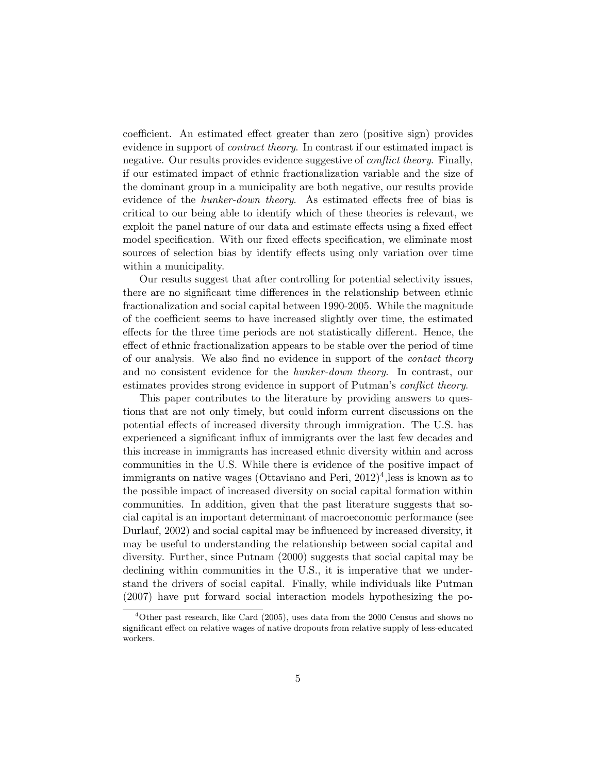coefficient. An estimated effect greater than zero (positive sign) provides evidence in support of *contract theory*. In contrast if our estimated impact is negative. Our results provides evidence suggestive of *conflict theory*. Finally, if our estimated impact of ethnic fractionalization variable and the size of the dominant group in a municipality are both negative, our results provide evidence of the *hunker-down theory*. As estimated effects free of bias is critical to our being able to identify which of these theories is relevant, we exploit the panel nature of our data and estimate effects using a fixed effect model specification. With our fixed effects specification, we eliminate most sources of selection bias by identify effects using only variation over time within a municipality.

Our results suggest that after controlling for potential selectivity issues, there are no significant time differences in the relationship between ethnic fractionalization and social capital between 1990-2005. While the magnitude of the coefficient seems to have increased slightly over time, the estimated effects for the three time periods are not statistically different. Hence, the effect of ethnic fractionalization appears to be stable over the period of time of our analysis. We also find no evidence in support of the *contact theory* and no consistent evidence for the *hunker-down theory*. In contrast, our estimates provides strong evidence in support of Putman's *conflict theory*.

This paper contributes to the literature by providing answers to questions that are not only timely, but could inform current discussions on the potential effects of increased diversity through immigration. The U.S. has experienced a significant influx of immigrants over the last few decades and this increase in immigrants has increased ethnic diversity within and across communities in the U.S. While there is evidence of the positive impact of immigrants on native wages (Ottaviano and Peri,  $2012)^4$ , less is known as to the possible impact of increased diversity on social capital formation within communities. In addition, given that the past literature suggests that social capital is an important determinant of macroeconomic performance (see Durlauf, 2002) and social capital may be influenced by increased diversity, it may be useful to understanding the relationship between social capital and diversity. Further, since Putnam (2000) suggests that social capital may be declining within communities in the U.S., it is imperative that we understand the drivers of social capital. Finally, while individuals like Putman (2007) have put forward social interaction models hypothesizing the po-

<sup>4</sup>Other past research, like Card (2005), uses data from the 2000 Census and shows no significant effect on relative wages of native dropouts from relative supply of less-educated workers.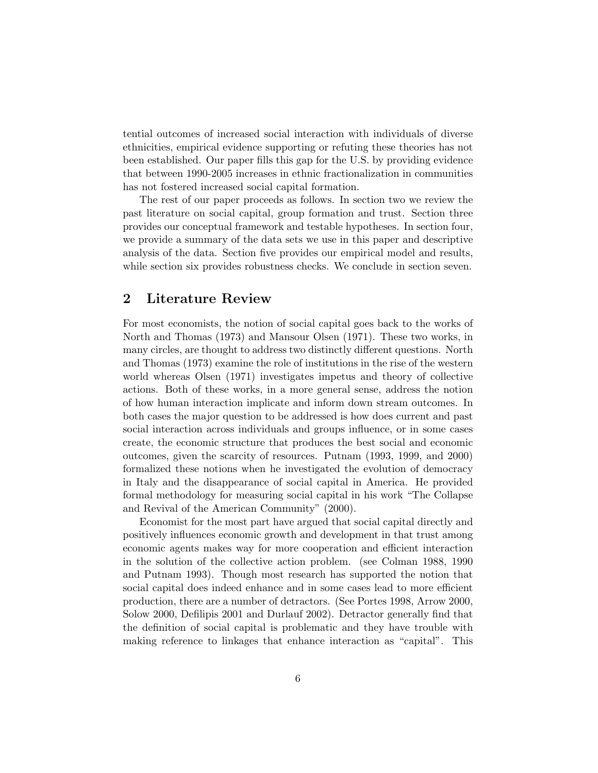tential outcomes of increased social interaction with individuals of diverse ethnicities, empirical evidence supporting or refuting these theories has not been established. Our paper fills this gap for the U.S. by providing evidence that between 1990-2005 increases in ethnic fractionalization in communities has not fostered increased social capital formation.

The rest of our paper proceeds as follows. In section two we review the past literature on social capital, group formation and trust. Section three provides our conceptual framework and testable hypotheses. In section four, we provide a summary of the data sets we use in this paper and descriptive analysis of the data. Section five provides our empirical model and results, while section six provides robustness checks. We conclude in section seven.

# **2 Literature Review**

For most economists, the notion of social capital goes back to the works of North and Thomas (1973) and Mansour Olsen (1971). These two works, in many circles, are thought to address two distinctly different questions. North and Thomas (1973) examine the role of institutions in the rise of the western world whereas Olsen (1971) investigates impetus and theory of collective actions. Both of these works, in a more general sense, address the notion of how human interaction implicate and inform down stream outcomes. In both cases the major question to be addressed is how does current and past social interaction across individuals and groups influence, or in some cases create, the economic structure that produces the best social and economic outcomes, given the scarcity of resources. Putnam (1993, 1999, and 2000) formalized these notions when he investigated the evolution of democracy in Italy and the disappearance of social capital in America. He provided formal methodology for measuring social capital in his work "The Collapse and Revival of the American Community" (2000).

Economist for the most part have argued that social capital directly and positively influences economic growth and development in that trust among economic agents makes way for more cooperation and efficient interaction in the solution of the collective action problem. (see Colman 1988, 1990 and Putnam 1993). Though most research has supported the notion that social capital does indeed enhance and in some cases lead to more efficient production, there are a number of detractors. (See Portes 1998, Arrow 2000, Solow 2000, Defilipis 2001 and Durlauf 2002). Detractor generally find that the definition of social capital is problematic and they have trouble with making reference to linkages that enhance interaction as "capital". This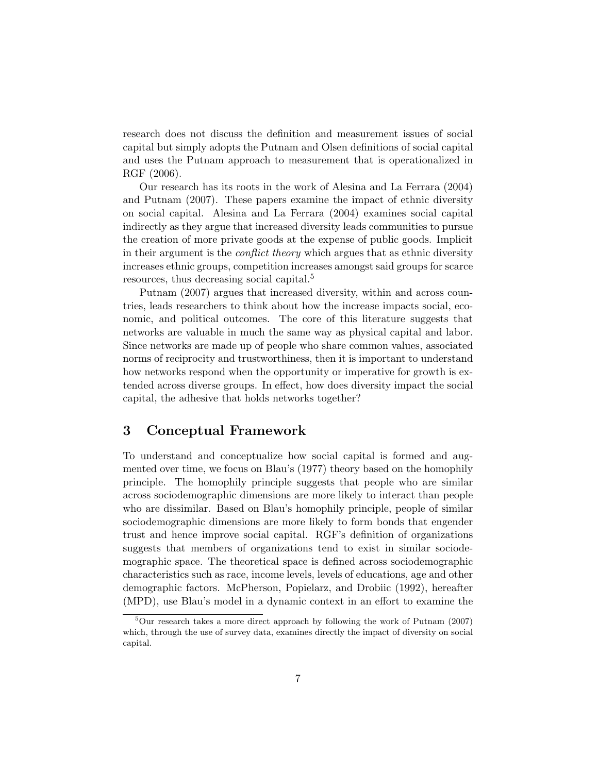research does not discuss the definition and measurement issues of social capital but simply adopts the Putnam and Olsen definitions of social capital and uses the Putnam approach to measurement that is operationalized in RGF (2006).

Our research has its roots in the work of Alesina and La Ferrara (2004) and Putnam (2007). These papers examine the impact of ethnic diversity on social capital. Alesina and La Ferrara (2004) examines social capital indirectly as they argue that increased diversity leads communities to pursue the creation of more private goods at the expense of public goods. Implicit in their argument is the *conflict theory* which argues that as ethnic diversity increases ethnic groups, competition increases amongst said groups for scarce resources, thus decreasing social capital.<sup>5</sup>

Putnam (2007) argues that increased diversity, within and across countries, leads researchers to think about how the increase impacts social, economic, and political outcomes. The core of this literature suggests that networks are valuable in much the same way as physical capital and labor. Since networks are made up of people who share common values, associated norms of reciprocity and trustworthiness, then it is important to understand how networks respond when the opportunity or imperative for growth is extended across diverse groups. In effect, how does diversity impact the social capital, the adhesive that holds networks together?

## **3 Conceptual Framework**

To understand and conceptualize how social capital is formed and augmented over time, we focus on Blau's (1977) theory based on the homophily principle. The homophily principle suggests that people who are similar across sociodemographic dimensions are more likely to interact than people who are dissimilar. Based on Blau's homophily principle, people of similar sociodemographic dimensions are more likely to form bonds that engender trust and hence improve social capital. RGF's definition of organizations suggests that members of organizations tend to exist in similar sociodemographic space. The theoretical space is defined across sociodemographic characteristics such as race, income levels, levels of educations, age and other demographic factors. McPherson, Popielarz, and Drobiic (1992), hereafter (MPD), use Blau's model in a dynamic context in an effort to examine the

<sup>5</sup>Our research takes a more direct approach by following the work of Putnam (2007) which, through the use of survey data, examines directly the impact of diversity on social capital.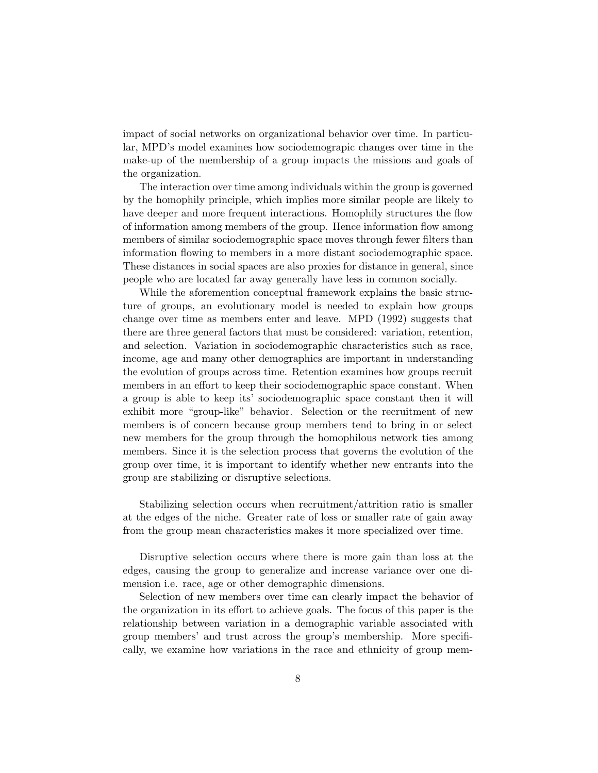impact of social networks on organizational behavior over time. In particular, MPD's model examines how sociodemograpic changes over time in the make-up of the membership of a group impacts the missions and goals of the organization.

The interaction over time among individuals within the group is governed by the homophily principle, which implies more similar people are likely to have deeper and more frequent interactions. Homophily structures the flow of information among members of the group. Hence information flow among members of similar sociodemographic space moves through fewer filters than information flowing to members in a more distant sociodemographic space. These distances in social spaces are also proxies for distance in general, since people who are located far away generally have less in common socially.

While the aforemention conceptual framework explains the basic structure of groups, an evolutionary model is needed to explain how groups change over time as members enter and leave. MPD (1992) suggests that there are three general factors that must be considered: variation, retention, and selection. Variation in sociodemographic characteristics such as race, income, age and many other demographics are important in understanding the evolution of groups across time. Retention examines how groups recruit members in an effort to keep their sociodemographic space constant. When a group is able to keep its' sociodemographic space constant then it will exhibit more "group-like" behavior. Selection or the recruitment of new members is of concern because group members tend to bring in or select new members for the group through the homophilous network ties among members. Since it is the selection process that governs the evolution of the group over time, it is important to identify whether new entrants into the group are stabilizing or disruptive selections.

Stabilizing selection occurs when recruitment/attrition ratio is smaller at the edges of the niche. Greater rate of loss or smaller rate of gain away from the group mean characteristics makes it more specialized over time.

Disruptive selection occurs where there is more gain than loss at the edges, causing the group to generalize and increase variance over one dimension i.e. race, age or other demographic dimensions.

Selection of new members over time can clearly impact the behavior of the organization in its effort to achieve goals. The focus of this paper is the relationship between variation in a demographic variable associated with group members' and trust across the group's membership. More specifically, we examine how variations in the race and ethnicity of group mem-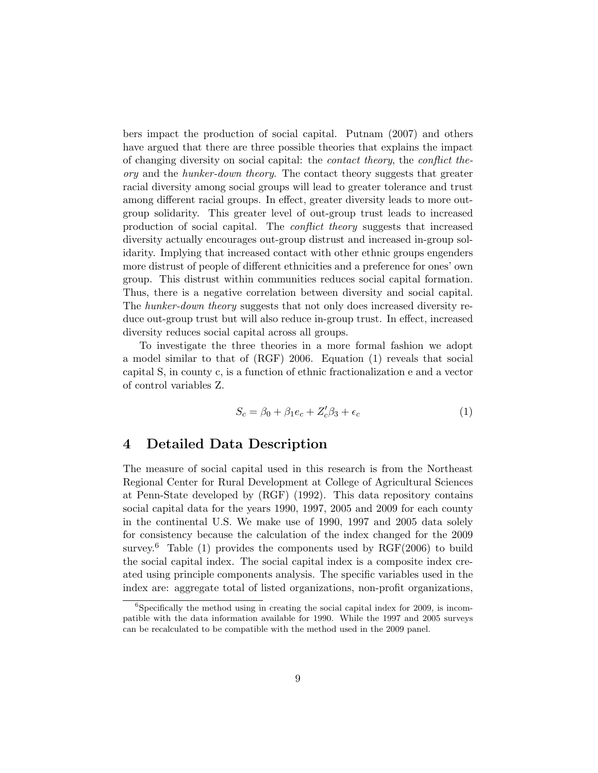bers impact the production of social capital. Putnam (2007) and others have argued that there are three possible theories that explains the impact of changing diversity on social capital: the *contact theory*, the *conflict theory* and the *hunker-down theory*. The contact theory suggests that greater racial diversity among social groups will lead to greater tolerance and trust among different racial groups. In effect, greater diversity leads to more outgroup solidarity. This greater level of out-group trust leads to increased production of social capital. The *conflict theory* suggests that increased diversity actually encourages out-group distrust and increased in-group solidarity. Implying that increased contact with other ethnic groups engenders more distrust of people of different ethnicities and a preference for ones' own group. This distrust within communities reduces social capital formation. Thus, there is a negative correlation between diversity and social capital. The *hunker-down theory* suggests that not only does increased diversity reduce out-group trust but will also reduce in-group trust. In effect, increased diversity reduces social capital across all groups.

To investigate the three theories in a more formal fashion we adopt a model similar to that of (RGF) 2006. Equation (1) reveals that social capital S, in county c, is a function of ethnic fractionalization e and a vector of control variables Z.

$$
S_c = \beta_0 + \beta_1 e_c + Z_c' \beta_3 + \epsilon_c \tag{1}
$$

### **4 Detailed Data Description**

The measure of social capital used in this research is from the Northeast Regional Center for Rural Development at College of Agricultural Sciences at Penn-State developed by (RGF) (1992). This data repository contains social capital data for the years 1990, 1997, 2005 and 2009 for each county in the continental U.S. We make use of 1990, 1997 and 2005 data solely for consistency because the calculation of the index changed for the 2009 survey.<sup>6</sup> Table (1) provides the components used by  $RGF(2006)$  to build the social capital index. The social capital index is a composite index created using principle components analysis. The specific variables used in the index are: aggregate total of listed organizations, non-profit organizations,

 ${}^{6}$ Specifically the method using in creating the social capital index for 2009, is incompatible with the data information available for 1990. While the 1997 and 2005 surveys can be recalculated to be compatible with the method used in the 2009 panel.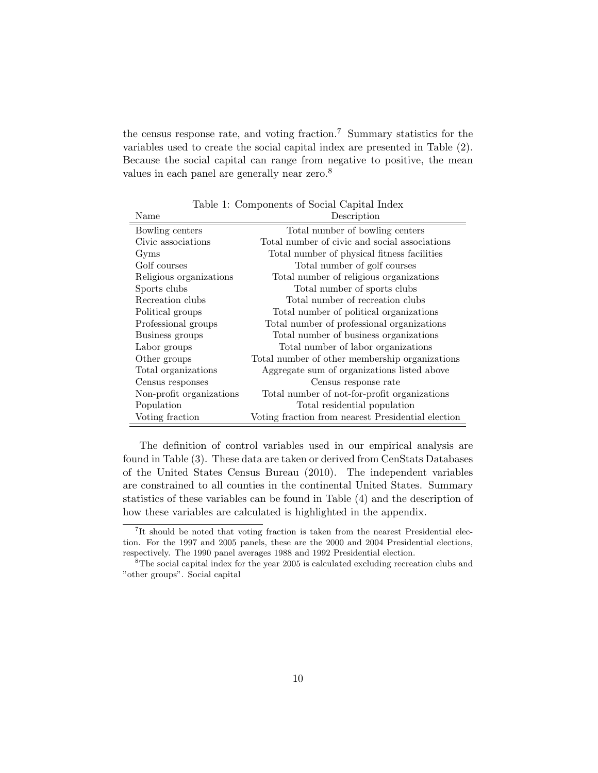the census response rate, and voting fraction.<sup>7</sup> Summary statistics for the variables used to create the social capital index are presented in Table (2). Because the social capital can range from negative to positive, the mean values in each panel are generally near zero.<sup>8</sup>

| Name                     | Description                                        |
|--------------------------|----------------------------------------------------|
| Bowling centers          | Total number of bowling centers                    |
| Civic associations       | Total number of civic and social associations      |
| Gyms                     | Total number of physical fitness facilities        |
| Golf courses             | Total number of golf courses                       |
| Religious organizations  | Total number of religious organizations            |
| Sports clubs             | Total number of sports clubs                       |
| Recreation clubs         | Total number of recreation clubs                   |
| Political groups         | Total number of political organizations            |
| Professional groups      | Total number of professional organizations         |
| Business groups          | Total number of business organizations             |
| Labor groups             | Total number of labor organizations                |
| Other groups             | Total number of other membership organizations     |
| Total organizations      | Aggregate sum of organizations listed above        |
| Census responses         | Census response rate                               |
| Non-profit organizations | Total number of not-for-profit organizations       |
| Population               | Total residential population                       |
| Voting fraction          | Voting fraction from nearest Presidential election |

Table 1: Components of Social Capital Index

The definition of control variables used in our empirical analysis are found in Table (3). These data are taken or derived from CenStats Databases of the United States Census Bureau (2010). The independent variables are constrained to all counties in the continental United States. Summary statistics of these variables can be found in Table (4) and the description of how these variables are calculated is highlighted in the appendix.

<sup>&</sup>lt;sup>7</sup>It should be noted that voting fraction is taken from the nearest Presidential election. For the 1997 and 2005 panels, these are the 2000 and 2004 Presidential elections, respectively. The 1990 panel averages 1988 and 1992 Presidential election.

 $8$ The social capital index for the year 2005 is calculated excluding recreation clubs and "other groups". Social capital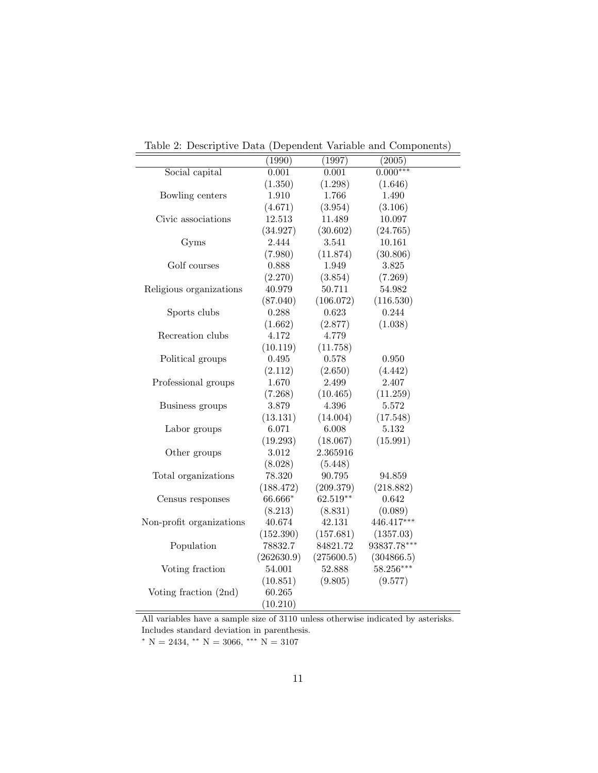|                          | . т.       |            |             |
|--------------------------|------------|------------|-------------|
|                          | (1990)     | (1997)     | (2005)      |
| Social capital           | 0.001      | 0.001      | $0.000***$  |
|                          | (1.350)    | (1.298)    | (1.646)     |
| Bowling centers          | 1.910      | 1.766      | 1.490       |
|                          | (4.671)    | (3.954)    | (3.106)     |
| Civic associations       | 12.513     | 11.489     | 10.097      |
|                          | (34.927)   | (30.602)   | (24.765)    |
| Gyms                     | 2.444      | 3.541      | 10.161      |
|                          | (7.980)    | (11.874)   | (30.806)    |
| Golf courses             | 0.888      | 1.949      | 3.825       |
|                          | (2.270)    | (3.854)    | (7.269)     |
| Religious organizations  | 40.979     | 50.711     | 54.982      |
|                          | (87.040)   | (106.072)  | (116.530)   |
| Sports clubs             | 0.288      | 0.623      | 0.244       |
|                          | (1.662)    | (2.877)    | (1.038)     |
| Recreation clubs         | 4.172      | 4.779      |             |
|                          | (10.119)   | (11.758)   |             |
| Political groups         | 0.495      | 0.578      | $0.950\,$   |
|                          | (2.112)    | (2.650)    | (4.442)     |
| Professional groups      | 1.670      | 2.499      | 2.407       |
|                          | (7.268)    | (10.465)   | (11.259)    |
| Business groups          | 3.879      | 4.396      | 5.572       |
|                          | (13.131)   | (14.004)   | (17.548)    |
| Labor groups             | 6.071      | 6.008      | 5.132       |
|                          | (19.293)   | (18.067)   | (15.991)    |
| Other groups             | 3.012      | 2.365916   |             |
|                          | (8.028)    | (5.448)    |             |
| Total organizations      | 78.320     | 90.795     | 94.859      |
|                          | (188.472)  | (209.379)  | (218.882)   |
| Census responses         | 66.666*    | 62.519**   | 0.642       |
|                          | (8.213)    | (8.831)    | (0.089)     |
| Non-profit organizations | 40.674     | 42.131     | 446.417***  |
|                          | (152.390)  | (157.681)  | (1357.03)   |
| Population               | 78832.7    | 84821.72   | 93837.78*** |
|                          | (262630.9) | (275600.5) | (304866.5)  |
| Voting fraction          | 54.001     | 52.888     | 58.256***   |
|                          | (10.851)   | (9.805)    | (9.577)     |
| Voting fraction (2nd)    | 60.265     |            |             |
|                          | (10.210)   |            |             |
|                          |            |            |             |

Table 2: Descriptive Data (Dependent Variable and Components)

All variables have a sample size of 3110 unless otherwise indicated by asterisks. Includes standard deviation in parenthesis.

*<sup>∗</sup>* N = 2434, *∗∗* N = 3066, *∗∗∗* N = 3107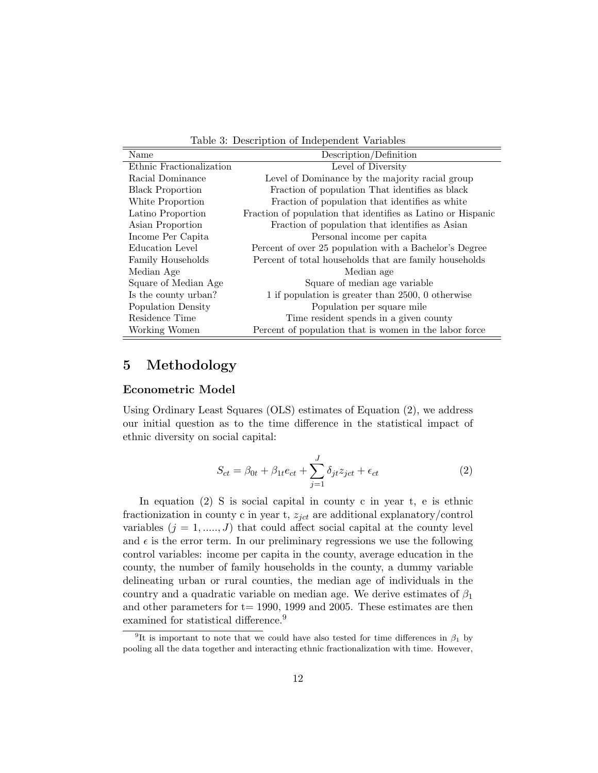Table 3: Description of Independent Variables

| Name                     | Description/Definition                                       |
|--------------------------|--------------------------------------------------------------|
| Ethnic Fractionalization | Level of Diversity                                           |
| Racial Dominance         | Level of Dominance by the majority racial group              |
| <b>Black Proportion</b>  | Fraction of population That identifies as black              |
| White Proportion         | Fraction of population that identifies as white              |
| Latino Proportion        | Fraction of population that identifies as Latino or Hispanic |
| Asian Proportion         | Fraction of population that identifies as Asian              |
| Income Per Capita        | Personal income per capita                                   |
| Education Level          | Percent of over 25 population with a Bachelor's Degree       |
| Family Households        | Percent of total households that are family households       |
| Median Age               | Median age                                                   |
| Square of Median Age     | Square of median age variable                                |
| Is the county urban?     | 1 if population is greater than 2500, 0 otherwise            |
| Population Density       | Population per square mile                                   |
| Residence Time           | Time resident spends in a given county                       |
| Working Women            | Percent of population that is women in the labor force       |

# **5 Methodology**

#### **Econometric Model**

Using Ordinary Least Squares (OLS) estimates of Equation (2), we address our initial question as to the time difference in the statistical impact of ethnic diversity on social capital:

$$
S_{ct} = \beta_{0t} + \beta_{1t}e_{ct} + \sum_{j=1}^{J} \delta_{jt} z_{ict} + \epsilon_{ct}
$$
\n(2)

In equation (2) S is social capital in county c in year t, e is ethnic fractionization in county c in year t, *zjct* are additional explanatory/control variables  $(j = 1, \ldots, J)$  that could affect social capital at the county level and  $\epsilon$  is the error term. In our preliminary regressions we use the following control variables: income per capita in the county, average education in the county, the number of family households in the county, a dummy variable delineating urban or rural counties, the median age of individuals in the country and a quadratic variable on median age. We derive estimates of *β*<sup>1</sup> and other parameters for  $t= 1990, 1999,$  and 2005. These estimates are then examined for statistical difference.<sup>9</sup>

<sup>&</sup>lt;sup>9</sup>It is important to note that we could have also tested for time differences in  $\beta_1$  by pooling all the data together and interacting ethnic fractionalization with time. However,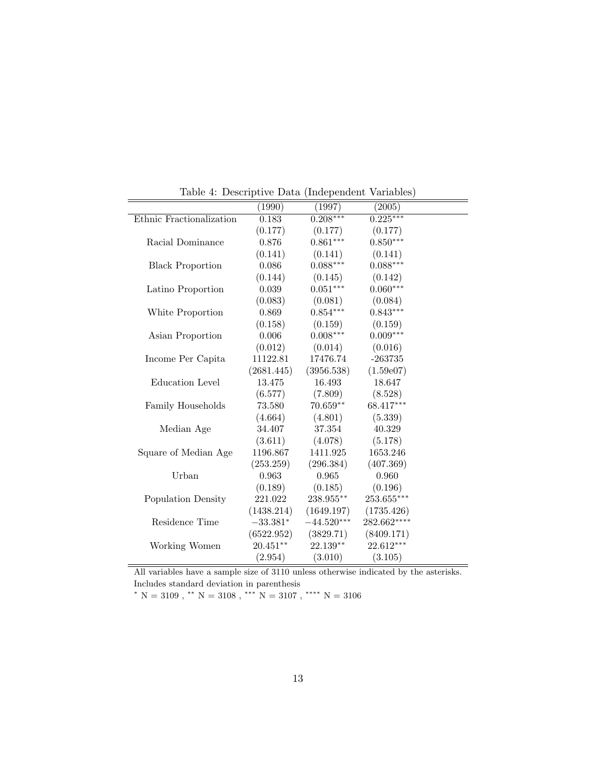|                          | (1990)      | (1997)          | (2005)       |  |
|--------------------------|-------------|-----------------|--------------|--|
| Ethnic Fractionalization | 0.183       | $0.208***$      | $0.225***$   |  |
|                          | (0.177)     | (0.177)         | (0.177)      |  |
| Racial Dominance         | 0.876       | $0.861***$      | $0.850***$   |  |
|                          | (0.141)     | (0.141)         | (0.141)      |  |
| <b>Black Proportion</b>  | 0.086       | $0.088***$      | $0.088***$   |  |
|                          | (0.144)     | (0.145)         | (0.142)      |  |
| Latino Proportion        | 0.039       | $0.051***$      | $0.060***$   |  |
|                          | (0.083)     | (0.081)         | (0.084)      |  |
| White Proportion         | 0.869       | $0.854***$      | $0.843***$   |  |
|                          | (0.158)     | (0.159)         | (0.159)      |  |
| Asian Proportion         | 0.006       | $0.008^{***}\,$ | $0.009***$   |  |
|                          | (0.012)     | (0.014)         | (0.016)      |  |
| Income Per Capita        | 11122.81    | 17476.74        | $-263735$    |  |
|                          | (2681.445)  | (3956.538)      | (1.59e07)    |  |
| Education Level          | 13.475      | 16.493          | 18.647       |  |
|                          | (6.577)     | (7.809)         | (8.528)      |  |
| Family Households        | 73.580      | $70.659**$      | 68.417***    |  |
|                          | (4.664)     | (4.801)         | (5.339)      |  |
| Median Age               | 34.407      | 37.354          | 40.329       |  |
|                          | (3.611)     | (4.078)         | (5.178)      |  |
| Square of Median Age     | 1196.867    | 1411.925        | 1653.246     |  |
|                          | (253.259)   | (296.384)       | (407.369)    |  |
| Urban                    | 0.963       | 0.965           | 0.960        |  |
|                          | (0.189)     | (0.185)         | (0.196)      |  |
| Population Density       | 221.022     | 238.955**       | $253.655***$ |  |
|                          | (1438.214)  | (1649.197)      | (1735.426)   |  |
| Residence Time           | $-33.381*$  | $-44.520***$    | $282.662***$ |  |
|                          | (6522.952)  | (3829.71)       | (8409.171)   |  |
| Working Women            | $20.451***$ | 22.139**        | 22.612***    |  |
|                          | (2.954)     | (3.010)         | (3.105)      |  |
|                          |             |                 |              |  |

Table 4: Descriptive Data (Independent Variables)

All variables have a sample size of 3110 unless otherwise indicated by the asterisks. Includes standard deviation in parenthesis

*<sup>∗</sup>* N = 3109 , *∗∗* N = 3108 , *∗∗∗* N = 3107 , *∗∗∗∗* N = 3106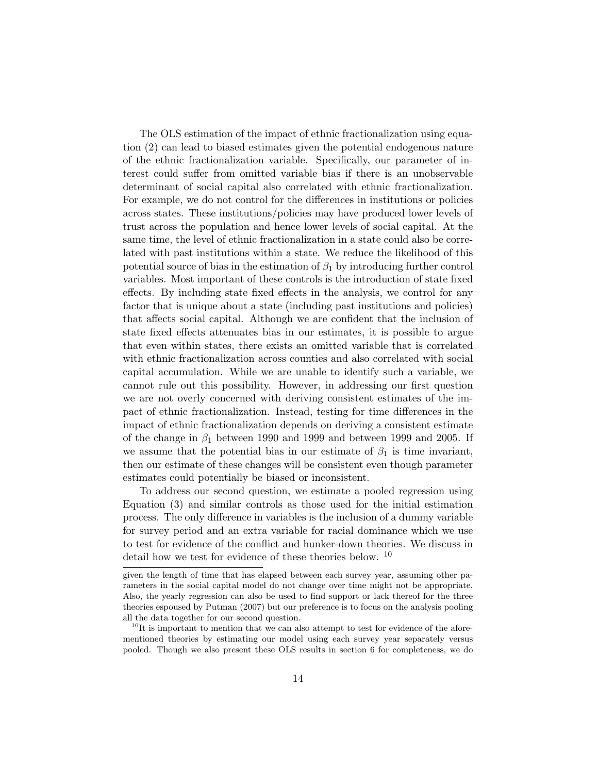The OLS estimation of the impact of ethnic fractionalization using equation (2) can lead to biased estimates given the potential endogenous nature of the ethnic fractionalization variable. Specifically, our parameter of interest could suffer from omitted variable bias if there is an unobservable determinant of social capital also correlated with ethnic fractionalization. For example, we do not control for the differences in institutions or policies across states. These institutions/policies may have produced lower levels of trust across the population and hence lower levels of social capital. At the same time, the level of ethnic fractionalization in a state could also be correlated with past institutions within a state. We reduce the likelihood of this potential source of bias in the estimation of *β*<sup>1</sup> by introducing further control variables. Most important of these controls is the introduction of state fixed effects. By including state fixed effects in the analysis, we control for any factor that is unique about a state (including past institutions and policies) that affects social capital. Although we are confident that the inclusion of state fixed effects attenuates bias in our estimates, it is possible to argue that even within states, there exists an omitted variable that is correlated with ethnic fractionalization across counties and also correlated with social capital accumulation. While we are unable to identify such a variable, we cannot rule out this possibility. However, in addressing our first question we are not overly concerned with deriving consistent estimates of the impact of ethnic fractionalization. Instead, testing for time differences in the impact of ethnic fractionalization depends on deriving a consistent estimate of the change in  $\beta_1$  between 1990 and 1999 and between 1999 and 2005. If we assume that the potential bias in our estimate of  $\beta_1$  is time invariant, then our estimate of these changes will be consistent even though parameter estimates could potentially be biased or inconsistent.

To address our second question, we estimate a pooled regression using Equation (3) and similar controls as those used for the initial estimation process. The only difference in variables is the inclusion of a dummy variable for survey period and an extra variable for racial dominance which we use to test for evidence of the conflict and hunker-down theories. We discuss in detail how we test for evidence of these theories below. <sup>10</sup>

given the length of time that has elapsed between each survey year, assuming other parameters in the social capital model do not change over time might not be appropriate. Also, the yearly regression can also be used to find support or lack thereof for the three theories espoused by Putman (2007) but our preference is to focus on the analysis pooling all the data together for our second question.

 $10$ It is important to mention that we can also attempt to test for evidence of the aforementioned theories by estimating our model using each survey year separately versus pooled. Though we also present these OLS results in section 6 for completeness, we do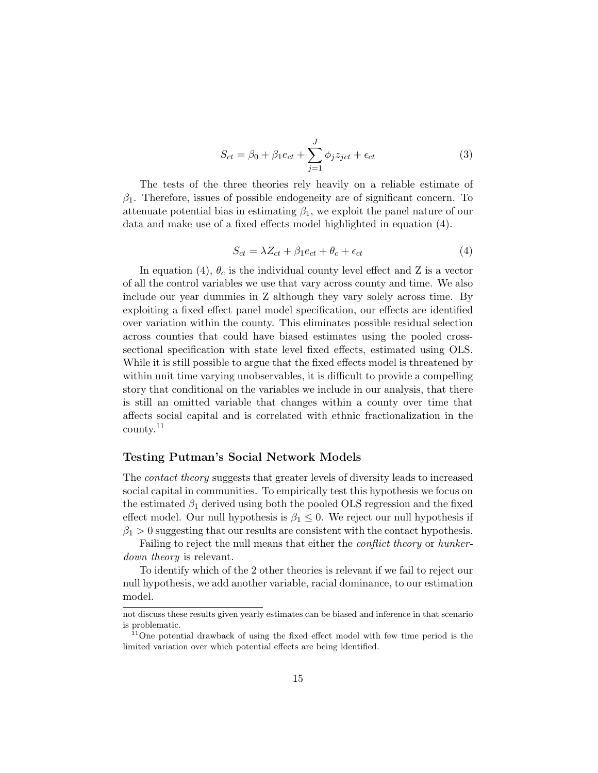$$
S_{ct} = \beta_0 + \beta_1 e_{ct} + \sum_{j=1}^{J} \phi_j z_{jet} + \epsilon_{ct}
$$
\n(3)

The tests of the three theories rely heavily on a reliable estimate of *β*1. Therefore, issues of possible endogeneity are of significant concern. To attenuate potential bias in estimating  $\beta_1$ , we exploit the panel nature of our data and make use of a fixed effects model highlighted in equation (4).

$$
S_{ct} = \lambda Z_{ct} + \beta_1 e_{ct} + \theta_c + \epsilon_{ct} \tag{4}
$$

In equation (4),  $\theta_c$  is the individual county level effect and Z is a vector of all the control variables we use that vary across county and time. We also include our year dummies in Z although they vary solely across time. By exploiting a fixed effect panel model specification, our effects are identified over variation within the county. This eliminates possible residual selection across counties that could have biased estimates using the pooled crosssectional specification with state level fixed effects, estimated using OLS. While it is still possible to argue that the fixed effects model is threatened by within unit time varying unobservables, it is difficult to provide a compelling story that conditional on the variables we include in our analysis, that there is still an omitted variable that changes within a county over time that affects social capital and is correlated with ethnic fractionalization in the county.<sup>11</sup>

#### **Testing Putman's Social Network Models**

The *contact theory* suggests that greater levels of diversity leads to increased social capital in communities. To empirically test this hypothesis we focus on the estimated  $\beta_1$  derived using both the pooled OLS regression and the fixed effect model. Our null hypothesis is  $\beta_1 \leq 0$ . We reject our null hypothesis if  $\beta_1 > 0$  suggesting that our results are consistent with the contact hypothesis.

Failing to reject the null means that either the *conflict theory* or *hunkerdown theory* is relevant.

To identify which of the 2 other theories is relevant if we fail to reject our null hypothesis, we add another variable, racial dominance, to our estimation model.

not discuss these results given yearly estimates can be biased and inference in that scenario is problematic.

 $11$ One potential drawback of using the fixed effect model with few time period is the limited variation over which potential effects are being identified.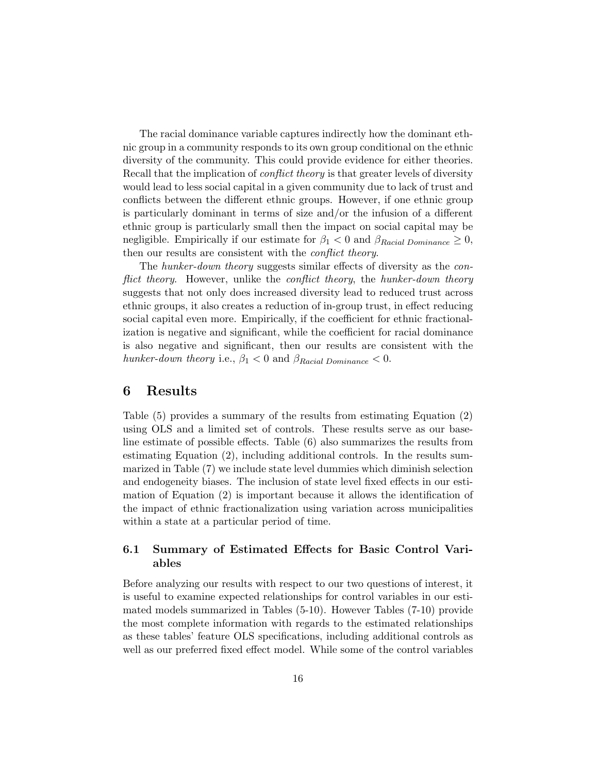The racial dominance variable captures indirectly how the dominant ethnic group in a community responds to its own group conditional on the ethnic diversity of the community. This could provide evidence for either theories. Recall that the implication of *conflict theory* is that greater levels of diversity would lead to less social capital in a given community due to lack of trust and conflicts between the different ethnic groups. However, if one ethnic group is particularly dominant in terms of size and/or the infusion of a different ethnic group is particularly small then the impact on social capital may be negligible. Empirically if our estimate for  $\beta_1 < 0$  and  $\beta_{Racial Domiance} \geq 0$ , then our results are consistent with the *conflict theory*.

The *hunker-down theory* suggests similar effects of diversity as the *conflict theory*. However, unlike the *conflict theory*, the *hunker-down theory* suggests that not only does increased diversity lead to reduced trust across ethnic groups, it also creates a reduction of in-group trust, in effect reducing social capital even more. Empirically, if the coefficient for ethnic fractionalization is negative and significant, while the coefficient for racial dominance is also negative and significant, then our results are consistent with the *hunker-down theory* i.e.,  $\beta_1 < 0$  and  $\beta_{Racial Dominance} < 0$ .

### **6 Results**

Table (5) provides a summary of the results from estimating Equation (2) using OLS and a limited set of controls. These results serve as our baseline estimate of possible effects. Table (6) also summarizes the results from estimating Equation (2), including additional controls. In the results summarized in Table (7) we include state level dummies which diminish selection and endogeneity biases. The inclusion of state level fixed effects in our estimation of Equation (2) is important because it allows the identification of the impact of ethnic fractionalization using variation across municipalities within a state at a particular period of time.

### **6.1 Summary of Estimated Effects for Basic Control Variables**

Before analyzing our results with respect to our two questions of interest, it is useful to examine expected relationships for control variables in our estimated models summarized in Tables (5-10). However Tables (7-10) provide the most complete information with regards to the estimated relationships as these tables' feature OLS specifications, including additional controls as well as our preferred fixed effect model. While some of the control variables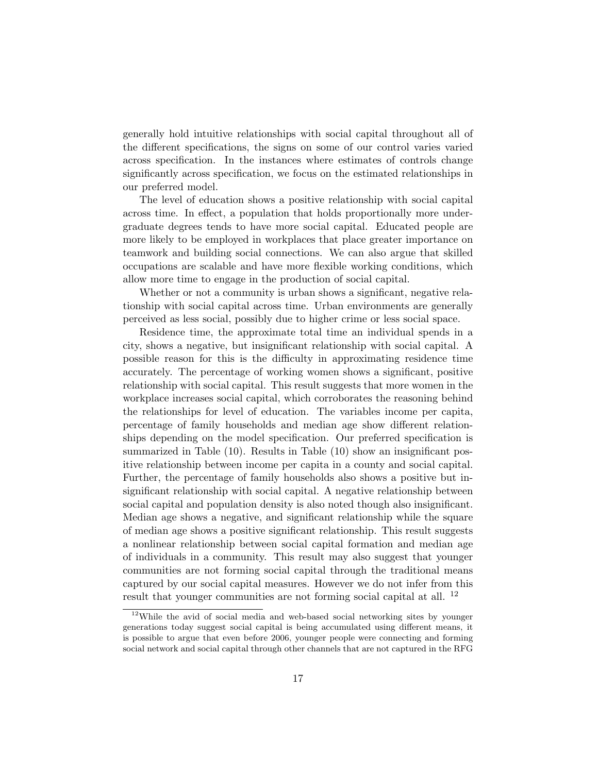generally hold intuitive relationships with social capital throughout all of the different specifications, the signs on some of our control varies varied across specification. In the instances where estimates of controls change significantly across specification, we focus on the estimated relationships in our preferred model.

The level of education shows a positive relationship with social capital across time. In effect, a population that holds proportionally more undergraduate degrees tends to have more social capital. Educated people are more likely to be employed in workplaces that place greater importance on teamwork and building social connections. We can also argue that skilled occupations are scalable and have more flexible working conditions, which allow more time to engage in the production of social capital.

Whether or not a community is urban shows a significant, negative relationship with social capital across time. Urban environments are generally perceived as less social, possibly due to higher crime or less social space.

Residence time, the approximate total time an individual spends in a city, shows a negative, but insignificant relationship with social capital. A possible reason for this is the difficulty in approximating residence time accurately. The percentage of working women shows a significant, positive relationship with social capital. This result suggests that more women in the workplace increases social capital, which corroborates the reasoning behind the relationships for level of education. The variables income per capita, percentage of family households and median age show different relationships depending on the model specification. Our preferred specification is summarized in Table (10). Results in Table (10) show an insignificant positive relationship between income per capita in a county and social capital. Further, the percentage of family households also shows a positive but insignificant relationship with social capital. A negative relationship between social capital and population density is also noted though also insignificant. Median age shows a negative, and significant relationship while the square of median age shows a positive significant relationship. This result suggests a nonlinear relationship between social capital formation and median age of individuals in a community. This result may also suggest that younger communities are not forming social capital through the traditional means captured by our social capital measures. However we do not infer from this result that younger communities are not forming social capital at all. <sup>12</sup>

 $12$ While the avid of social media and web-based social networking sites by younger generations today suggest social capital is being accumulated using different means, it is possible to argue that even before 2006, younger people were connecting and forming social network and social capital through other channels that are not captured in the RFG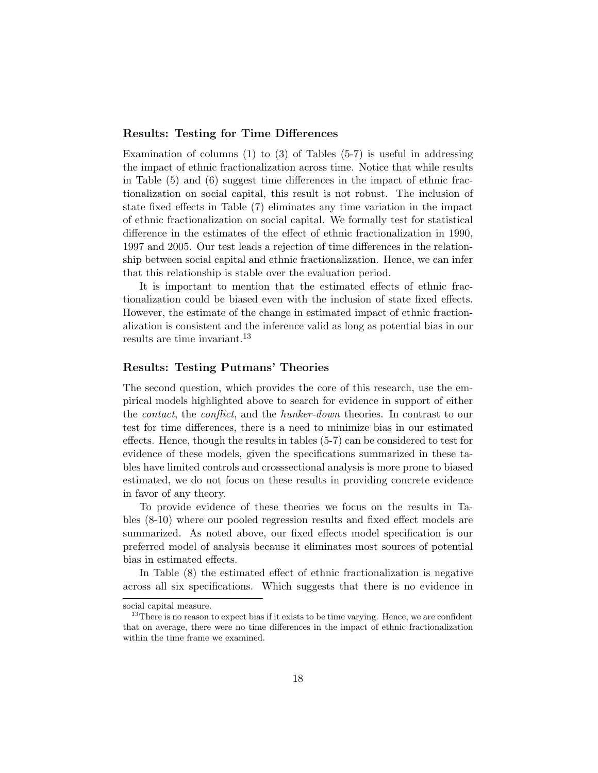#### **Results: Testing for Time Differences**

Examination of columns  $(1)$  to  $(3)$  of Tables  $(5-7)$  is useful in addressing the impact of ethnic fractionalization across time. Notice that while results in Table (5) and (6) suggest time differences in the impact of ethnic fractionalization on social capital, this result is not robust. The inclusion of state fixed effects in Table (7) eliminates any time variation in the impact of ethnic fractionalization on social capital. We formally test for statistical difference in the estimates of the effect of ethnic fractionalization in 1990, 1997 and 2005. Our test leads a rejection of time differences in the relationship between social capital and ethnic fractionalization. Hence, we can infer that this relationship is stable over the evaluation period.

It is important to mention that the estimated effects of ethnic fractionalization could be biased even with the inclusion of state fixed effects. However, the estimate of the change in estimated impact of ethnic fractionalization is consistent and the inference valid as long as potential bias in our results are time invariant.<sup>13</sup>

#### **Results: Testing Putmans' Theories**

The second question, which provides the core of this research, use the empirical models highlighted above to search for evidence in support of either the *contact*, the *conflict*, and the *hunker-down* theories. In contrast to our test for time differences, there is a need to minimize bias in our estimated effects. Hence, though the results in tables (5-7) can be considered to test for evidence of these models, given the specifications summarized in these tables have limited controls and crosssectional analysis is more prone to biased estimated, we do not focus on these results in providing concrete evidence in favor of any theory.

To provide evidence of these theories we focus on the results in Tables (8-10) where our pooled regression results and fixed effect models are summarized. As noted above, our fixed effects model specification is our preferred model of analysis because it eliminates most sources of potential bias in estimated effects.

In Table (8) the estimated effect of ethnic fractionalization is negative across all six specifications. Which suggests that there is no evidence in

social capital measure.

<sup>&</sup>lt;sup>13</sup>There is no reason to expect bias if it exists to be time varying. Hence, we are confident that on average, there were no time differences in the impact of ethnic fractionalization within the time frame we examined.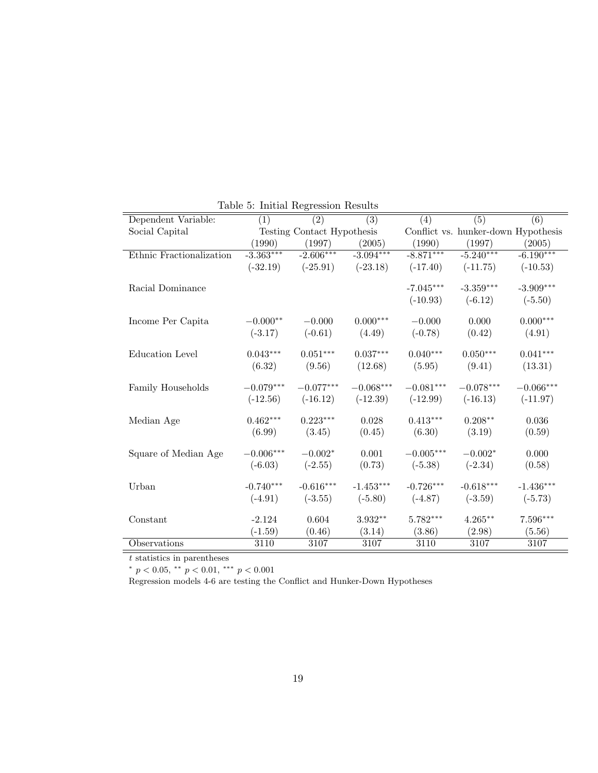| Dependent Variable:      | $\sim$<br>(1) | $\overline{(2)}$           | (3)         | (4)         | (5)         | $\overline{(6)}$                    |
|--------------------------|---------------|----------------------------|-------------|-------------|-------------|-------------------------------------|
| Social Capital           |               | Testing Contact Hypothesis |             |             |             | Conflict vs. hunker-down Hypothesis |
|                          | (1990)        | (1997)                     | (2005)      | (1990)      | (1997)      | (2005)                              |
| Ethnic Fractionalization | $-3.363***$   | $-2.606***$                | $-3.094***$ | $-8.871***$ | $-5.240***$ | $-6.190***$                         |
|                          | $(-32.19)$    | $(-25.91)$                 | $(-23.18)$  | $(-17.40)$  | $(-11.75)$  | $(-10.53)$                          |
| Racial Dominance         |               |                            |             | $-7.045***$ | $-3.359***$ | $-3.909***$                         |
|                          |               |                            |             | $(-10.93)$  | $(-6.12)$   | $(-5.50)$                           |
| Income Per Capita        | $-0.000**$    | $-0.000$                   | $0.000***$  | $-0.000$    | 0.000       | $0.000***$                          |
|                          | $(-3.17)$     | $(-0.61)$                  | (4.49)      | $(-0.78)$   | (0.42)      | (4.91)                              |
| <b>Education Level</b>   | $0.043***$    | $0.051***$                 | $0.037***$  | $0.040***$  | $0.050***$  | $0.041***$                          |
|                          | (6.32)        | (9.56)                     | (12.68)     | (5.95)      | (9.41)      | (13.31)                             |
| Family Households        | $-0.079***$   | $-0.077***$                | $-0.068***$ | $-0.081***$ | $-0.078***$ | $-0.066***$                         |
|                          | $(-12.56)$    | $(-16.12)$                 | $(-12.39)$  | $(-12.99)$  | $(-16.13)$  | $(-11.97)$                          |
| Median Age               | $0.462***$    | $0.223***$                 | 0.028       | $0.413***$  | $0.208**$   | 0.036                               |
|                          | (6.99)        | (3.45)                     | (0.45)      | (6.30)      | (3.19)      | (0.59)                              |
| Square of Median Age     | $-0.006***$   | $-0.002*$                  | 0.001       | $-0.005***$ | $-0.002*$   | 0.000                               |
|                          | $(-6.03)$     | $(-2.55)$                  | (0.73)      | $(-5.38)$   | $(-2.34)$   | (0.58)                              |
| Urban                    | $-0.740***$   | $-0.616***$                | $-1.453***$ | $-0.726***$ | $-0.618***$ | $-1.436***$                         |
|                          | $(-4.91)$     | $(-3.55)$                  | $(-5.80)$   | $(-4.87)$   | $(-3.59)$   | $(-5.73)$                           |
| Constant                 | $-2.124$      | 0.604                      | 3.932**     | $5.782***$  | $4.265***$  | $7.596***$                          |
|                          | $(-1.59)$     | (0.46)                     | (3.14)      | (3.86)      | (2.98)      | (5.56)                              |
| Observations             | 3110          | 3107                       | 3107        | 3110        | 3107        | 3107                                |

Table 5: Initial Regression Results

*t* statistics in parentheses

*∗ p <* 0*.*05, *∗∗ p <* 0*.*01, *∗∗∗ p <* 0*.*001

Regression models 4-6 are testing the Conflict and Hunker-Down Hypotheses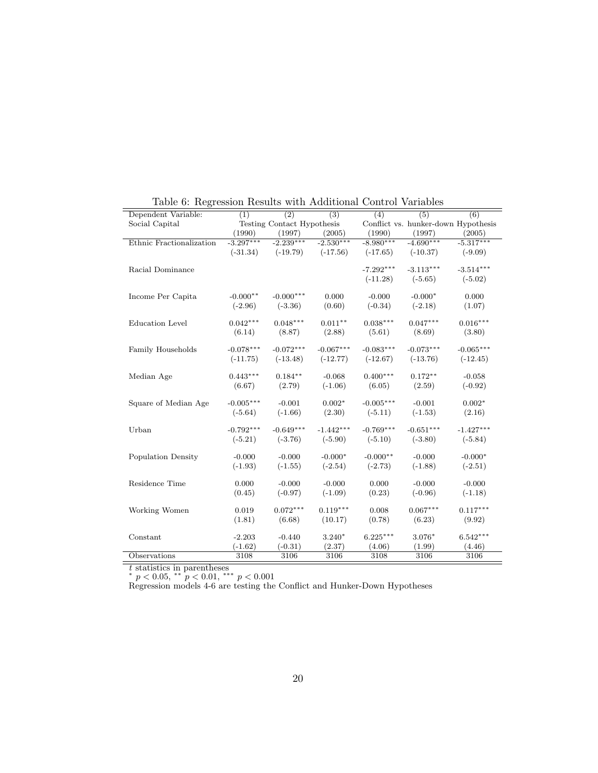| Dependent Variable:      | (1)         | $\overline{(2)}$           | $\overline{(3)}$ | Table 0. Itest contour recourse when redditional Contention<br>(4) | (5)                                 | (6)         |
|--------------------------|-------------|----------------------------|------------------|--------------------------------------------------------------------|-------------------------------------|-------------|
| Social Capital           |             | Testing Contact Hypothesis |                  |                                                                    | Conflict vs. hunker-down Hypothesis |             |
|                          | (1990)      | (1997)                     | (2005)           | (1990)                                                             | (1997)                              | (2005)      |
| Ethnic Fractionalization | $-3.297***$ | $-2.239***$                | $-2.530***$      | $-8.980***$                                                        | $-4.690***$                         | $-5.317***$ |
|                          | $(-31.34)$  | $(-19.79)$                 | $(-17.56)$       | $(-17.65)$                                                         | $(-10.37)$                          | $(-9.09)$   |
|                          |             |                            |                  |                                                                    |                                     |             |
| Racial Dominance         |             |                            |                  | $-7.292***$                                                        | $-3.113***$                         | $-3.514***$ |
|                          |             |                            |                  | $(-11.28)$                                                         | $(-5.65)$                           | $(-5.02)$   |
| Income Per Capita        | $-0.000**$  | $-0.000***$                | 0.000            | $-0.000$                                                           | $-0.000*$                           | 0.000       |
|                          | $(-2.96)$   | $(-3.36)$                  | (0.60)           | $(-0.34)$                                                          | $(-2.18)$                           | (1.07)      |
|                          |             |                            |                  |                                                                    |                                     |             |
| <b>Education</b> Level   | $0.042***$  | $0.048***$                 | $0.011**$        | $0.038***$                                                         | $0.047***$                          | $0.016***$  |
|                          | (6.14)      | (8.87)                     | (2.88)           | (5.61)                                                             | (8.69)                              | (3.80)      |
|                          |             |                            |                  |                                                                    |                                     |             |
| Family Households        | $-0.078***$ | $-0.072***$                | $-0.067***$      | $-0.083***$                                                        | $-0.073***$                         | $-0.065***$ |
|                          | $(-11.75)$  | $(-13.48)$                 | $(-12.77)$       | $(-12.67)$                                                         | $(-13.76)$                          | $(-12.45)$  |
|                          |             |                            |                  |                                                                    |                                     |             |
| Median Age               | $0.443***$  | $0.184**$                  | $-0.068$         | $0.400***$                                                         | $0.172**$                           | $-0.058$    |
|                          | (6.67)      | (2.79)                     | $(-1.06)$        | (6.05)                                                             | (2.59)                              | $(-0.92)$   |
| Square of Median Age     | $-0.005***$ | $-0.001$                   | $0.002*$         | $-0.005***$                                                        | $-0.001$                            | $0.002*$    |
|                          | $(-5.64)$   | $(-1.66)$                  | (2.30)           | $(-5.11)$                                                          | $(-1.53)$                           | (2.16)      |
|                          |             |                            |                  |                                                                    |                                     |             |
| Urban                    | $-0.792***$ | $-0.649***$                | $-1.442***$      | $-0.769***$                                                        | $-0.651***$                         | $-1.427***$ |
|                          | $(-5.21)$   | $(-3.76)$                  | $(-5.90)$        | $(-5.10)$                                                          | $(-3.80)$                           | $(-5.84)$   |
|                          |             |                            |                  |                                                                    |                                     |             |
| Population Density       | $-0.000$    | $-0.000$                   | $-0.000*$        | $-0.000**$                                                         | $-0.000$                            | $-0.000*$   |
|                          | $(-1.93)$   | $(-1.55)$                  | $(-2.54)$        | $(-2.73)$                                                          | $(-1.88)$                           | $(-2.51)$   |
| Residence Time           | 0.000       | $-0.000$                   | $-0.000$         | 0.000                                                              | $-0.000$                            | $-0.000$    |
|                          | (0.45)      | $(-0.97)$                  | $(-1.09)$        | (0.23)                                                             | $(-0.96)$                           | $(-1.18)$   |
|                          |             |                            |                  |                                                                    |                                     |             |
| Working Women            | 0.019       | $0.072***$                 | $0.119***$       | 0.008                                                              | $0.067***$                          | $0.117***$  |
|                          | (1.81)      | (6.68)                     | (10.17)          | (0.78)                                                             | (6.23)                              | (9.92)      |
|                          |             |                            |                  |                                                                    |                                     |             |
| Constant                 | $-2.203$    | $-0.440$                   | $3.240*$         | $6.225***$                                                         | 3.076*                              | $6.542***$  |
|                          | $(-1.62)$   | $(-0.31)$                  | (2.37)           | (4.06)                                                             | (1.99)                              | (4.46)      |
| Observations             | 3108        | 3106                       | 3106             | 3108                                                               | 3106                                | 3106        |

Table 6: Regression Results with Additional Control Variables

*t* statistics in parentheses *∗ p <* 0*.*05, *∗∗ p <* 0*.*01, *∗∗∗ p <* 0*.*001

Regression models 4-6 are testing the Conflict and Hunker-Down Hypotheses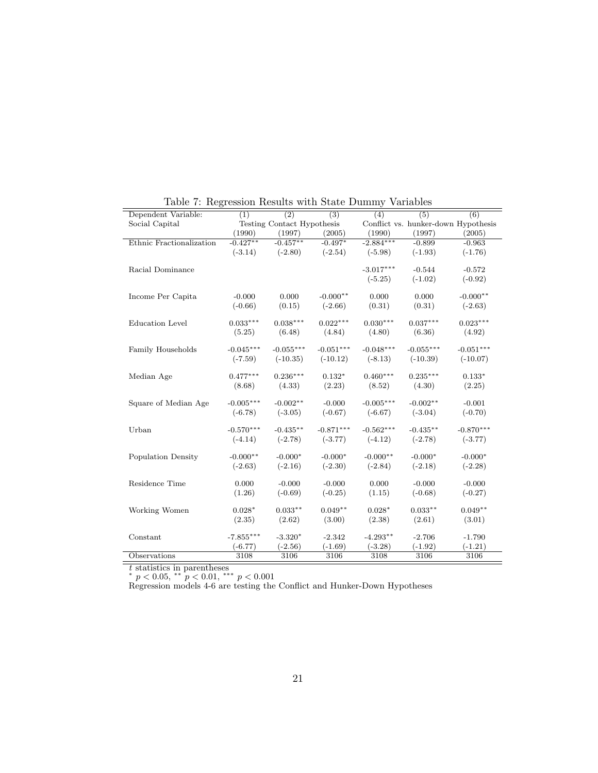| Dependent Variable:       | (1)         | (2)                        | $\overline{(3)}$ | rapic r. regression results with beate Dunnity<br>(4) | (5)         | (6)                                 |
|---------------------------|-------------|----------------------------|------------------|-------------------------------------------------------|-------------|-------------------------------------|
| Social Capital            |             | Testing Contact Hypothesis |                  |                                                       |             | Conflict vs. hunker-down Hypothesis |
|                           | (1990)      | (1997)                     | (2005)           | (1990)                                                | (1997)      | (2005)                              |
| Ethnic Fractionalization  | $-0.427**$  | $-0.457**$                 | $-0.497*$        | $-2.884***$                                           | $-0.899$    | $-0.963$                            |
|                           | $(-3.14)$   | $(-2.80)$                  | $(-2.54)$        | $(-5.98)$                                             | $(-1.93)$   | $(-1.76)$                           |
|                           |             |                            |                  |                                                       |             |                                     |
| Racial Dominance          |             |                            |                  | $-3.017***$                                           | $-0.544$    | $-0.572$                            |
|                           |             |                            |                  | $(-5.25)$                                             | $(-1.02)$   | $(-0.92)$                           |
| Income Per Capita         | $-0.000$    | 0.000                      | $-0.000**$       | 0.000                                                 | 0.000       | $-0.000**$                          |
|                           | $(-0.66)$   | (0.15)                     | $(-2.66)$        | (0.31)                                                | (0.31)      | $(-2.63)$                           |
|                           |             |                            |                  |                                                       |             |                                     |
| <b>Education</b> Level    | $0.033***$  | $0.038***$                 | $0.022***$       | $0.030***$                                            | $0.037***$  | $0.023***$                          |
|                           | (5.25)      | (6.48)                     | (4.84)           | (4.80)                                                | (6.36)      | (4.92)                              |
|                           |             |                            |                  |                                                       |             |                                     |
| Family Households         | $-0.045***$ | $-0.055***$                | $-0.051***$      | $-0.048***$                                           | $-0.055***$ | $-0.051***$                         |
|                           | $(-7.59)$   | $(-10.35)$                 | $(-10.12)$       | $(-8.13)$                                             | $(-10.39)$  | $(-10.07)$                          |
|                           |             |                            |                  |                                                       |             |                                     |
| Median Age                | $0.477***$  | $0.236***$                 | $0.132*$         | $0.460***$                                            | $0.235***$  | $0.133*$                            |
|                           | (8.68)      | (4.33)                     | (2.23)           | (8.52)                                                | (4.30)      | (2.25)                              |
| Square of Median Age      | $-0.005***$ | $-0.002**$                 | $-0.000$         | $-0.005***$                                           | $-0.002**$  | $-0.001$                            |
|                           | $(-6.78)$   | $(-3.05)$                  | $(-0.67)$        | $(-6.67)$                                             | $(-3.04)$   | $(-0.70)$                           |
|                           |             |                            |                  |                                                       |             |                                     |
| Urban                     | $-0.570***$ | $-0.435**$                 | $-0.871***$      | $-0.562***$                                           | $-0.435**$  | $-0.870***$                         |
|                           | $(-4.14)$   | $(-2.78)$                  | $(-3.77)$        | $(-4.12)$                                             | $(-2.78)$   | $(-3.77)$                           |
|                           |             |                            |                  |                                                       |             |                                     |
| <b>Population Density</b> | $-0.000**$  | $-0.000*$                  | $-0.000*$        | $-0.000**$                                            | $-0.000*$   | $-0.000*$                           |
|                           | $(-2.63)$   | $(-2.16)$                  | $(-2.30)$        | $(-2.84)$                                             | $(-2.18)$   | $(-2.28)$                           |
| Residence Time            | 0.000       | $-0.000$                   | $-0.000$         | 0.000                                                 | $-0.000$    | $-0.000$                            |
|                           | (1.26)      | $(-0.69)$                  | $(-0.25)$        | (1.15)                                                | $(-0.68)$   | $(-0.27)$                           |
|                           |             |                            |                  |                                                       |             |                                     |
| Working Women             | $0.028*$    | $0.033**$                  | $0.049**$        | $0.028*$                                              | $0.033**$   | $0.049**$                           |
|                           | (2.35)      | (2.62)                     | (3.00)           | (2.38)                                                | (2.61)      | (3.01)                              |
|                           |             |                            |                  |                                                       |             |                                     |
| Constant                  | $-7.855***$ | $-3.320*$                  | $-2.342$         | $-4.293**$                                            | $-2.706$    | $-1.790$                            |
|                           | $(-6.77)$   | $(-2.56)$                  | $(-1.69)$        | $(-3.28)$                                             | $(-1.92)$   | $(-1.21)$                           |
| Observations              | 3108        | 3106                       | 3106             | 3108                                                  | 3106        | 3106                                |

Table 7: Regression Results with State Dummy Variables

*t* statistics in parentheses *∗ p <* 0*.*05, *∗∗ p <* 0*.*01, *∗∗∗ p <* 0*.*001

Regression models 4-6 are testing the Conflict and Hunker-Down Hypotheses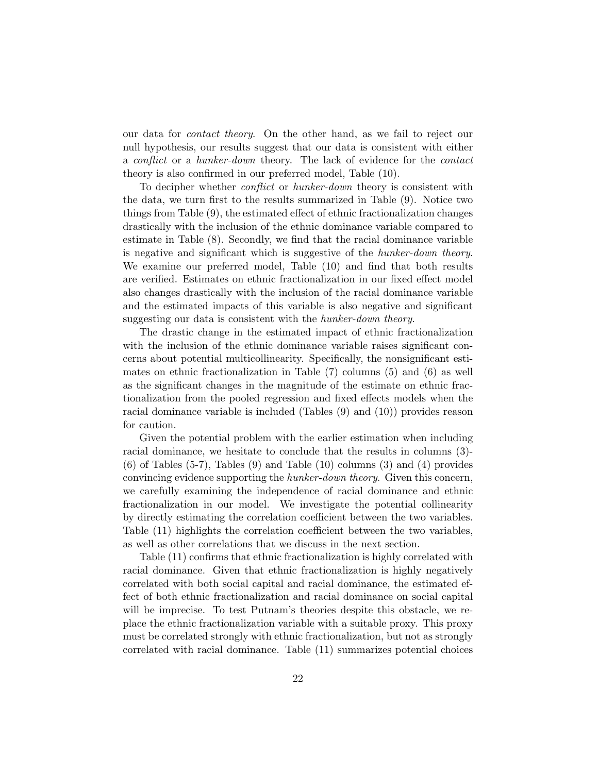our data for *contact theory*. On the other hand, as we fail to reject our null hypothesis, our results suggest that our data is consistent with either a *conflict* or a *hunker-down* theory. The lack of evidence for the *contact* theory is also confirmed in our preferred model, Table (10).

To decipher whether *conflict* or *hunker-down* theory is consistent with the data, we turn first to the results summarized in Table (9). Notice two things from Table (9), the estimated effect of ethnic fractionalization changes drastically with the inclusion of the ethnic dominance variable compared to estimate in Table (8). Secondly, we find that the racial dominance variable is negative and significant which is suggestive of the *hunker-down theory*. We examine our preferred model, Table (10) and find that both results are verified. Estimates on ethnic fractionalization in our fixed effect model also changes drastically with the inclusion of the racial dominance variable and the estimated impacts of this variable is also negative and significant suggesting our data is consistent with the *hunker-down theory*.

The drastic change in the estimated impact of ethnic fractionalization with the inclusion of the ethnic dominance variable raises significant concerns about potential multicollinearity. Specifically, the nonsignificant estimates on ethnic fractionalization in Table (7) columns (5) and (6) as well as the significant changes in the magnitude of the estimate on ethnic fractionalization from the pooled regression and fixed effects models when the racial dominance variable is included (Tables (9) and (10)) provides reason for caution.

Given the potential problem with the earlier estimation when including racial dominance, we hesitate to conclude that the results in columns (3)-  $(6)$  of Tables  $(5-7)$ , Tables  $(9)$  and Table  $(10)$  columns  $(3)$  and  $(4)$  provides convincing evidence supporting the *hunker-down theory*. Given this concern, we carefully examining the independence of racial dominance and ethnic fractionalization in our model. We investigate the potential collinearity by directly estimating the correlation coefficient between the two variables. Table (11) highlights the correlation coefficient between the two variables, as well as other correlations that we discuss in the next section.

Table (11) confirms that ethnic fractionalization is highly correlated with racial dominance. Given that ethnic fractionalization is highly negatively correlated with both social capital and racial dominance, the estimated effect of both ethnic fractionalization and racial dominance on social capital will be imprecise. To test Putnam's theories despite this obstacle, we replace the ethnic fractionalization variable with a suitable proxy. This proxy must be correlated strongly with ethnic fractionalization, but not as strongly correlated with racial dominance. Table (11) summarizes potential choices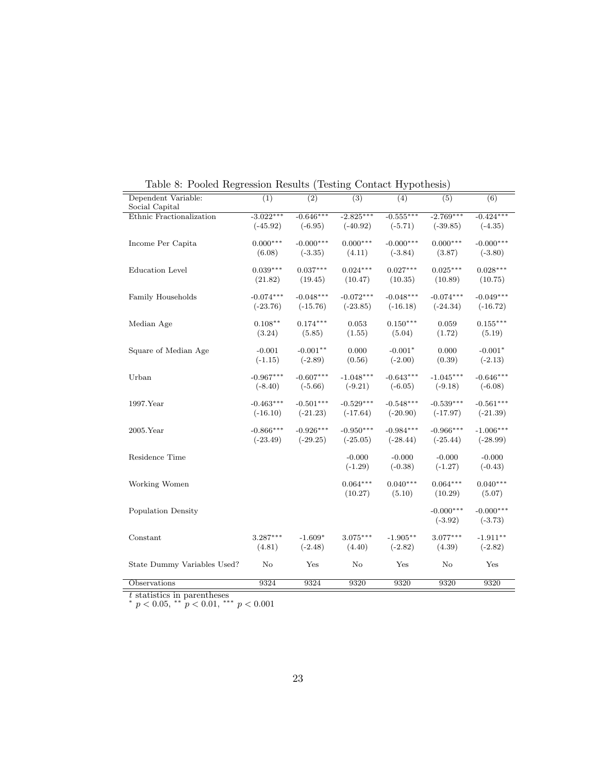| Dependent Variable:         | (1)         | (2)         | (3)         | (4)         | (5)         | (6)         |
|-----------------------------|-------------|-------------|-------------|-------------|-------------|-------------|
| Social Capital              |             |             |             |             |             |             |
| Ethnic Fractionalization    | $-3.022***$ | $-0.646***$ | $-2.825***$ | $-0.555***$ | $-2.769***$ | $-0.424***$ |
|                             | $(-45.92)$  | $(-6.95)$   | $(-40.92)$  | $(-5.71)$   | $(-39.85)$  | $(-4.35)$   |
| Income Per Capita           | $0.000***$  | $-0.000***$ | $0.000***$  | $-0.000***$ | $0.000***$  | $-0.000***$ |
|                             | (6.08)      | $(-3.35)$   | (4.11)      | $(-3.84)$   | (3.87)      | $(-3.80)$   |
| <b>Education</b> Level      | $0.039***$  | $0.037***$  | $0.024***$  | $0.027***$  | $0.025***$  | $0.028***$  |
|                             | (21.82)     | (19.45)     | (10.47)     | (10.35)     | (10.89)     | (10.75)     |
| Family Households           | $-0.074***$ | $-0.048***$ | $-0.072***$ | $-0.048***$ | $-0.074***$ | $-0.049***$ |
|                             | $(-23.76)$  | $(-15.76)$  | $(-23.85)$  | $(-16.18)$  | $(-24.34)$  | $(-16.72)$  |
| Median Age                  | $0.108**$   | $0.174***$  | 0.053       | $0.150***$  | 0.059       | $0.155***$  |
|                             | (3.24)      | (5.85)      | (1.55)      | (5.04)      | (1.72)      | (5.19)      |
| Square of Median Age        | $-0.001$    | $-0.001**$  | 0.000       | $-0.001*$   | 0.000       | $-0.001*$   |
|                             | $(-1.15)$   | $(-2.89)$   | (0.56)      | $(-2.00)$   | (0.39)      | $(-2.13)$   |
| Urban                       | $-0.967***$ | $-0.607***$ | $-1.048***$ | $-0.643***$ | $-1.045***$ | $-0.646***$ |
|                             | $(-8.40)$   | $(-5.66)$   | $(-9.21)$   | $(-6.05)$   | $(-9.18)$   | $(-6.08)$   |
| $1997.$ Year                | $-0.463***$ | $-0.501***$ | $-0.529***$ | $-0.548***$ | $-0.539***$ | $-0.561***$ |
|                             | $(-16.10)$  | $(-21.23)$  | $(-17.64)$  | $(-20.90)$  | $(-17.97)$  | $(-21.39)$  |
| $2005.$ Year                | $-0.866***$ | $-0.926***$ | $-0.950***$ | $-0.984***$ | $-0.966***$ | $-1.006***$ |
|                             | $(-23.49)$  | $(-29.25)$  | $(-25.05)$  | $(-28.44)$  | $(-25.44)$  | $(-28.99)$  |
| Residence Time              |             |             | $-0.000$    | $-0.000$    | $-0.000$    | $-0.000$    |
|                             |             |             | $(-1.29)$   | $(-0.38)$   | $(-1.27)$   | $(-0.43)$   |
| Working Women               |             |             | $0.064***$  | $0.040***$  | $0.064***$  | $0.040***$  |
|                             |             |             | (10.27)     | (5.10)      | (10.29)     | (5.07)      |
| <b>Population Density</b>   |             |             |             |             | $-0.000***$ | $-0.000***$ |
|                             |             |             |             |             | $(-3.92)$   | $(-3.73)$   |
| Constant                    | $3.287***$  | $-1.609*$   | $3.075***$  | $-1.905**$  | $3.077***$  | $-1.911**$  |
|                             | (4.81)      | $(-2.48)$   | (4.40)      | $(-2.82)$   | (4.39)      | $(-2.82)$   |
| State Dummy Variables Used? | No          | Yes         | $\rm No$    | Yes         | No          | Yes         |
| Observations                | 9324        | 9324        | 9320        | 9320        | 9320        | 9320        |

Table 8: Pooled Regression Results (Testing Contact Hypothesis)

*t* statistics in parentheses *∗ p <* 0*.*05, *∗∗ p <* 0*.*01, *∗∗∗ p <* 0*.*001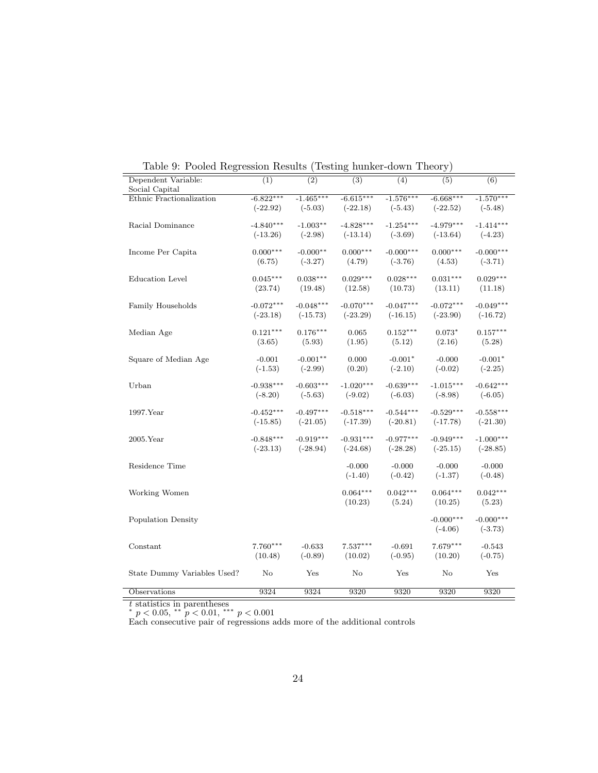| Dependent Variable:<br>Social Capital | (1)                       | (2)                      | (3)                       | (4)                      | (5)                       | (6)                      |
|---------------------------------------|---------------------------|--------------------------|---------------------------|--------------------------|---------------------------|--------------------------|
| Ethnic Fractionalization              | $-6.822***$<br>$(-22.92)$ | $-1.465***$<br>$(-5.03)$ | $-6.615***$<br>$(-22.18)$ | $-1.576***$<br>$(-5.43)$ | $-6.668***$<br>$(-22.52)$ | $-1.570***$              |
|                                       |                           |                          |                           |                          |                           | $(-5.48)$                |
| Racial Dominance                      | $-4.840***$<br>$(-13.26)$ | $-1.003**$<br>$(-2.98)$  | $-4.828***$<br>$(-13.14)$ | $-1.254***$<br>$(-3.69)$ | $-4.979***$<br>$(-13.64)$ | $-1.414***$<br>$(-4.23)$ |
|                                       |                           |                          |                           |                          |                           |                          |
| Income Per Capita                     | $0.000***$<br>(6.75)      | $-0.000**$<br>$(-3.27)$  | $0.000***$<br>(4.79)      | $-0.000***$<br>$(-3.76)$ | $0.000***$<br>(4.53)      | $-0.000***$<br>$(-3.71)$ |
|                                       |                           |                          |                           |                          |                           |                          |
| <b>Education</b> Level                | $0.045***$                | $0.038***$               | $0.029***$                | $0.028***$               | $0.031***$                | $0.029***$               |
|                                       | (23.74)                   | (19.48)                  | (12.58)                   | (10.73)                  | (13.11)                   | (11.18)                  |
| Family Households                     | $-0.072***$               | $-0.048***$              | $-0.070***$               | $-0.047***$              | $-0.072***$               | $-0.049***$              |
|                                       | $(-23.18)$                | $(-15.73)$               | $(-23.29)$                | $(-16.15)$               | $(-23.90)$                | $(-16.72)$               |
| Median Age                            | $0.121***$                | $0.176***$               | 0.065                     | $0.152***$               | $0.073*$                  | $0.157***$               |
|                                       | (3.65)                    | (5.93)                   | (1.95)                    | (5.12)                   | (2.16)                    | (5.28)                   |
| Square of Median Age                  | $-0.001$                  | $-0.001**$               | 0.000                     | $-0.001*$                | $-0.000$                  | $-0.001*$                |
|                                       | $(-1.53)$                 | $(-2.99)$                | (0.20)                    | $(-2.10)$                | $(-0.02)$                 | $(-2.25)$                |
| Urban                                 | $-0.938***$               | $-0.603***$              | $-1.020***$               | $-0.639***$              | $-1.015***$               | $-0.642***$              |
|                                       | $(-8.20)$                 | $(-5.63)$                | $(-9.02)$                 | $(-6.03)$                | $(-8.98)$                 | $(-6.05)$                |
| 1997.Year                             | $-0.452***$               | $-0.497***$              | $-0.518***$               | $-0.544***$              | $-0.529***$               | $-0.558***$              |
|                                       | $(-15.85)$                | $(-21.05)$               | $(-17.39)$                | $(-20.81)$               | $(-17.78)$                | $(-21.30)$               |
| $2005$ . Year                         | $-0.848***$               | $-0.919***$              | $-0.931***$               | $-0.977***$              | $-0.949***$               | $-1.000***$              |
|                                       | $(-23.13)$                | $(-28.94)$               | $(-24.68)$                | $(-28.28)$               | $(-25.15)$                | $(-28.85)$               |
| Residence Time                        |                           |                          | $-0.000$                  | $-0.000$                 | $-0.000$                  | $-0.000$                 |
|                                       |                           |                          | $(-1.40)$                 | $(-0.42)$                | $(-1.37)$                 | $(-0.48)$                |
| Working Women                         |                           |                          | $0.064***$                | $0.042***$               | $0.064***$                | $0.042***$               |
|                                       |                           |                          | (10.23)                   | (5.24)                   | (10.25)                   | (5.23)                   |
| Population Density                    |                           |                          |                           |                          | $-0.000***$               | $-0.000***$              |
|                                       |                           |                          |                           |                          | $(-4.06)$                 | $(-3.73)$                |
| Constant                              | $7.760***$                | $-0.633$                 | $7.537***$                | $-0.691$                 | $7.679***$                | $-0.543$                 |
|                                       | (10.48)                   | $(-0.89)$                | (10.02)                   | $(-0.95)$                | (10.20)                   | $(-0.75)$                |
| State Dummy Variables Used?           | No                        | Yes                      | No                        | Yes                      | No                        | Yes                      |
|                                       |                           |                          |                           |                          |                           |                          |
| Observations                          | 9324                      | 9324                     | 9320                      | 9320                     | 9320                      | 9320                     |

Table 9: Pooled Regression Results (Testing hunker-down Theory)

*t* statistics in parentheses *∗ p <* 0*.*05, *∗∗ p <* 0*.*01, *∗∗∗ p <* 0*.*001

Each consecutive pair of regressions adds more of the additional controls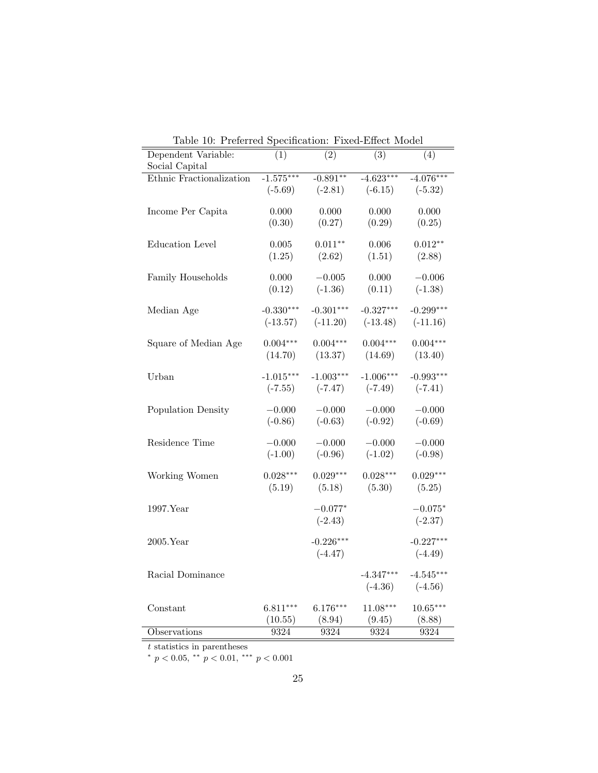| rable 10. I referred opeculoation. Fixed-Effect moder<br>Dependent Variable: | (1)         | $\overline{(2)}$ | $\overline{(3)}$ | (4)         |
|------------------------------------------------------------------------------|-------------|------------------|------------------|-------------|
| Social Capital                                                               |             |                  |                  |             |
| Ethnic Fractionalization                                                     | $-1.575***$ | $-0.891**$       | $-4.623***$      | $-4.076***$ |
|                                                                              | $(-5.69)$   | $(-2.81)$        | $(-6.15)$        | $(-5.32)$   |
|                                                                              |             |                  |                  |             |
| Income Per Capita                                                            | 0.000       | 0.000            | 0.000            | 0.000       |
|                                                                              | (0.30)      | (0.27)           | (0.29)           | (0.25)      |
| <b>Education Level</b>                                                       | 0.005       | $0.011**$        | 0.006            | $0.012**$   |
|                                                                              | (1.25)      | (2.62)           | (1.51)           | (2.88)      |
|                                                                              |             |                  |                  |             |
| Family Households                                                            | 0.000       | $-0.005$         | 0.000            | $-0.006$    |
|                                                                              | (0.12)      | $(-1.36)$        | (0.11)           | $(-1.38)$   |
|                                                                              |             |                  | $-0.327***$      | $-0.299***$ |
| Median Age                                                                   | $-0.330***$ | $-0.301***$      |                  |             |
|                                                                              | $(-13.57)$  | $(-11.20)$       | $(-13.48)$       | $(-11.16)$  |
| Square of Median Age                                                         | $0.004***$  | $0.004***$       | $0.004***$       | $0.004***$  |
|                                                                              | (14.70)     | (13.37)          | (14.69)          | (13.40)     |
|                                                                              |             |                  |                  |             |
| Urban                                                                        | $-1.015***$ | $-1.003***$      | $-1.006***$      | $-0.993***$ |
|                                                                              | $(-7.55)$   | $(-7.47)$        | $(-7.49)$        | $(-7.41)$   |
| Population Density                                                           | $-0.000$    | $-0.000$         | $-0.000$         | $-0.000$    |
|                                                                              | $(-0.86)$   | $(-0.63)$        | $(-0.92)$        | $(-0.69)$   |
|                                                                              |             |                  |                  |             |
| Residence Time                                                               | $-0.000$    | $-0.000$         | $-0.000$         | $-0.000$    |
|                                                                              | $(-1.00)$   | $(-0.96)$        | $(-1.02)$        | $(-0.98)$   |
|                                                                              |             | $0.029***$       |                  | $0.029***$  |
| Working Women                                                                | $0.028***$  |                  | $0.028***$       |             |
|                                                                              | (5.19)      | (5.18)           | (5.30)           | (5.25)      |
| 1997.Year                                                                    |             | $-0.077*$        |                  | $-0.075*$   |
|                                                                              |             | $(-2.43)$        |                  | $(-2.37)$   |
|                                                                              |             |                  |                  |             |
| $2005.$ Year                                                                 |             | $-0.226***$      |                  | $-0.227***$ |
|                                                                              |             | $(-4.47)$        |                  | $(-4.49)$   |
| Racial Dominance                                                             |             |                  | $-4.347***$      | $-4.545***$ |
|                                                                              |             |                  | $(-4.36)$        | $(-4.56)$   |
|                                                                              |             |                  |                  |             |
| Constant                                                                     | $6.811***$  | $6.176***$       | $11.08***$       | $10.65***$  |
|                                                                              | (10.55)     | (8.94)           | (9.45)           | (8.88)      |
| Observations                                                                 | 9324        | 9324             | 9324             | 9324        |

Table 10: Preferred Specification: Fixed-Effect Model

*t* statistics in parentheses

*∗ p <* 0*.*05, *∗∗ p <* 0*.*01, *∗∗∗ p <* 0*.*001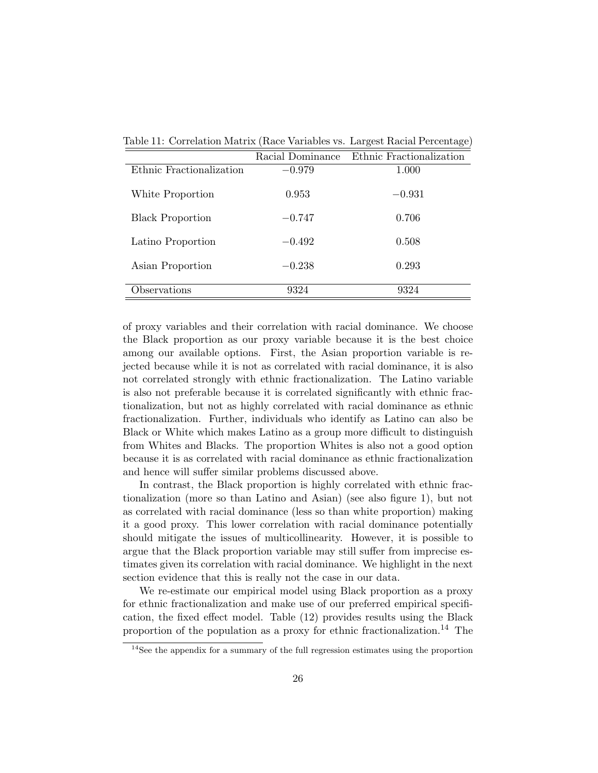|                          | Racial Dominance | Ethnic Fractionalization |
|--------------------------|------------------|--------------------------|
| Ethnic Fractionalization | $-0.979$         | 1.000                    |
| White Proportion         | 0.953            | $-0.931$                 |
| <b>Black Proportion</b>  | $-0.747$         | 0.706                    |
| Latino Proportion        | $-0.492$         | 0.508                    |
| Asian Proportion         | $-0.238$         | 0.293                    |
| Observations             | 9324             | 9324                     |

Table 11: Correlation Matrix (Race Variables vs. Largest Racial Percentage)

of proxy variables and their correlation with racial dominance. We choose the Black proportion as our proxy variable because it is the best choice among our available options. First, the Asian proportion variable is rejected because while it is not as correlated with racial dominance, it is also not correlated strongly with ethnic fractionalization. The Latino variable is also not preferable because it is correlated significantly with ethnic fractionalization, but not as highly correlated with racial dominance as ethnic fractionalization. Further, individuals who identify as Latino can also be Black or White which makes Latino as a group more difficult to distinguish from Whites and Blacks. The proportion Whites is also not a good option because it is as correlated with racial dominance as ethnic fractionalization and hence will suffer similar problems discussed above.

In contrast, the Black proportion is highly correlated with ethnic fractionalization (more so than Latino and Asian) (see also figure 1), but not as correlated with racial dominance (less so than white proportion) making it a good proxy. This lower correlation with racial dominance potentially should mitigate the issues of multicollinearity. However, it is possible to argue that the Black proportion variable may still suffer from imprecise estimates given its correlation with racial dominance. We highlight in the next section evidence that this is really not the case in our data.

We re-estimate our empirical model using Black proportion as a proxy for ethnic fractionalization and make use of our preferred empirical specification, the fixed effect model. Table (12) provides results using the Black proportion of the population as a proxy for ethnic fractionalization.<sup>14</sup> The

<sup>&</sup>lt;sup>14</sup>See the appendix for a summary of the full regression estimates using the proportion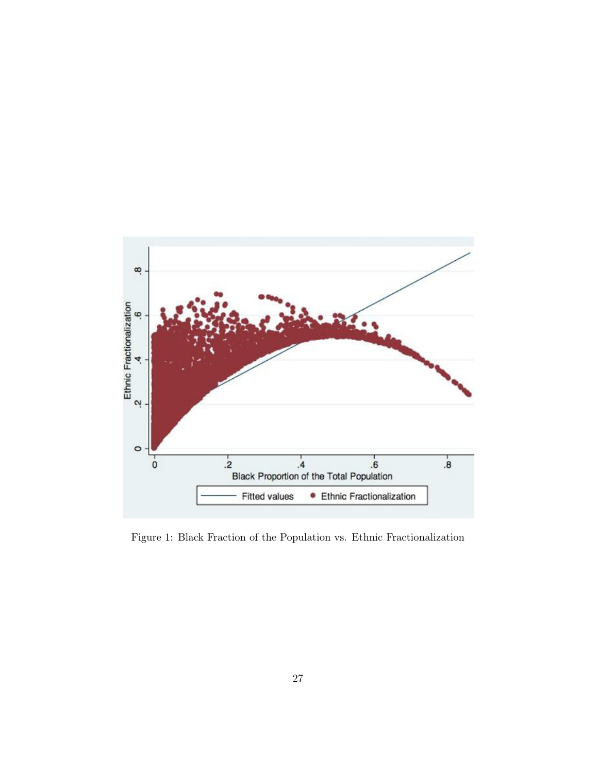

Figure 1: Black Fraction of the Population vs. Ethnic Fractionalization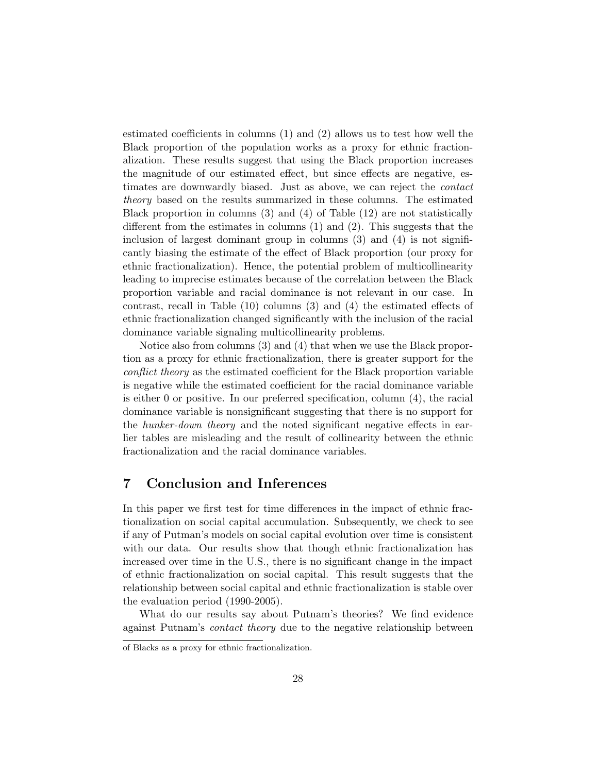estimated coefficients in columns (1) and (2) allows us to test how well the Black proportion of the population works as a proxy for ethnic fractionalization. These results suggest that using the Black proportion increases the magnitude of our estimated effect, but since effects are negative, estimates are downwardly biased. Just as above, we can reject the *contact theory* based on the results summarized in these columns. The estimated Black proportion in columns (3) and (4) of Table (12) are not statistically different from the estimates in columns (1) and (2). This suggests that the inclusion of largest dominant group in columns  $(3)$  and  $(4)$  is not significantly biasing the estimate of the effect of Black proportion (our proxy for ethnic fractionalization). Hence, the potential problem of multicollinearity leading to imprecise estimates because of the correlation between the Black proportion variable and racial dominance is not relevant in our case. In contrast, recall in Table (10) columns (3) and (4) the estimated effects of ethnic fractionalization changed significantly with the inclusion of the racial dominance variable signaling multicollinearity problems.

Notice also from columns (3) and (4) that when we use the Black proportion as a proxy for ethnic fractionalization, there is greater support for the *conflict theory* as the estimated coefficient for the Black proportion variable is negative while the estimated coefficient for the racial dominance variable is either 0 or positive. In our preferred specification, column (4), the racial dominance variable is nonsignificant suggesting that there is no support for the *hunker-down theory* and the noted significant negative effects in earlier tables are misleading and the result of collinearity between the ethnic fractionalization and the racial dominance variables.

# **7 Conclusion and Inferences**

In this paper we first test for time differences in the impact of ethnic fractionalization on social capital accumulation. Subsequently, we check to see if any of Putman's models on social capital evolution over time is consistent with our data. Our results show that though ethnic fractionalization has increased over time in the U.S., there is no significant change in the impact of ethnic fractionalization on social capital. This result suggests that the relationship between social capital and ethnic fractionalization is stable over the evaluation period (1990-2005).

What do our results say about Putnam's theories? We find evidence against Putnam's *contact theory* due to the negative relationship between

of Blacks as a proxy for ethnic fractionalization.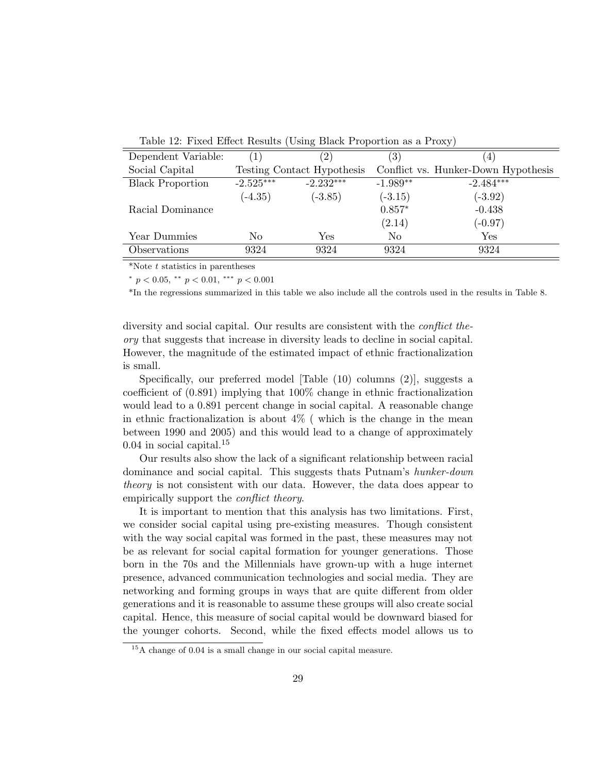Table 12: Fixed Effect Results (Using Black Proportion as a Proxy)

| Dependent Variable:     |             | $^{\prime}2)$              | (3)        | 4)                                  |
|-------------------------|-------------|----------------------------|------------|-------------------------------------|
| Social Capital          |             | Testing Contact Hypothesis |            | Conflict vs. Hunker-Down Hypothesis |
| <b>Black Proportion</b> | $-2.525***$ | $-2.232***$                | $-1.989**$ | $-2.484***$                         |
|                         | $(-4.35)$   | $(-3.85)$                  | $(-3.15)$  | $(-3.92)$                           |
| Racial Dominance        |             |                            | $0.857*$   | $-0.438$                            |
|                         |             |                            | (2.14)     | $(-0.97)$                           |
| Year Dummies            | No          | Yes                        | No         | Yes                                 |
| Observations            | 9324        | 9324                       | 9324       | 9324                                |
|                         |             |                            |            |                                     |

\*Note *t* statistics in parentheses

*∗ p <* 0*.*05, *∗∗ p <* 0*.*01, *∗∗∗ p <* 0*.*001

\*In the regressions summarized in this table we also include all the controls used in the results in Table 8.

diversity and social capital. Our results are consistent with the *conflict theory* that suggests that increase in diversity leads to decline in social capital. However, the magnitude of the estimated impact of ethnic fractionalization is small.

Specifically, our preferred model [Table (10) columns (2)], suggests a coefficient of (0.891) implying that 100% change in ethnic fractionalization would lead to a 0.891 percent change in social capital. A reasonable change in ethnic fractionalization is about  $4\%$  (which is the change in the mean between 1990 and 2005) and this would lead to a change of approximately 0.04 in social capital.<sup>15</sup>

Our results also show the lack of a significant relationship between racial dominance and social capital. This suggests thats Putnam's *hunker-down theory* is not consistent with our data. However, the data does appear to empirically support the *conflict theory*.

It is important to mention that this analysis has two limitations. First, we consider social capital using pre-existing measures. Though consistent with the way social capital was formed in the past, these measures may not be as relevant for social capital formation for younger generations. Those born in the 70s and the Millennials have grown-up with a huge internet presence, advanced communication technologies and social media. They are networking and forming groups in ways that are quite different from older generations and it is reasonable to assume these groups will also create social capital. Hence, this measure of social capital would be downward biased for the younger cohorts. Second, while the fixed effects model allows us to

<sup>15</sup>A change of 0.04 is a small change in our social capital measure.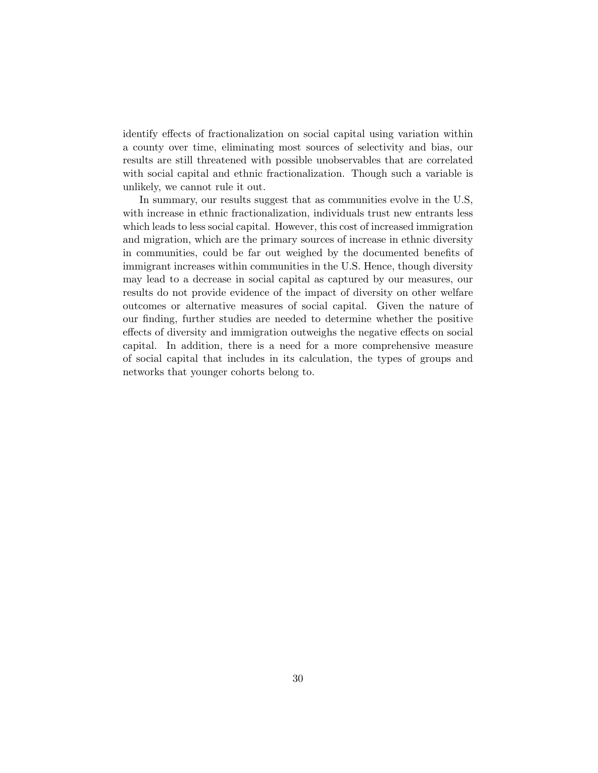identify effects of fractionalization on social capital using variation within a county over time, eliminating most sources of selectivity and bias, our results are still threatened with possible unobservables that are correlated with social capital and ethnic fractionalization. Though such a variable is unlikely, we cannot rule it out.

In summary, our results suggest that as communities evolve in the U.S, with increase in ethnic fractionalization, individuals trust new entrants less which leads to less social capital. However, this cost of increased immigration and migration, which are the primary sources of increase in ethnic diversity in communities, could be far out weighed by the documented benefits of immigrant increases within communities in the U.S. Hence, though diversity may lead to a decrease in social capital as captured by our measures, our results do not provide evidence of the impact of diversity on other welfare outcomes or alternative measures of social capital. Given the nature of our finding, further studies are needed to determine whether the positive effects of diversity and immigration outweighs the negative effects on social capital. In addition, there is a need for a more comprehensive measure of social capital that includes in its calculation, the types of groups and networks that younger cohorts belong to.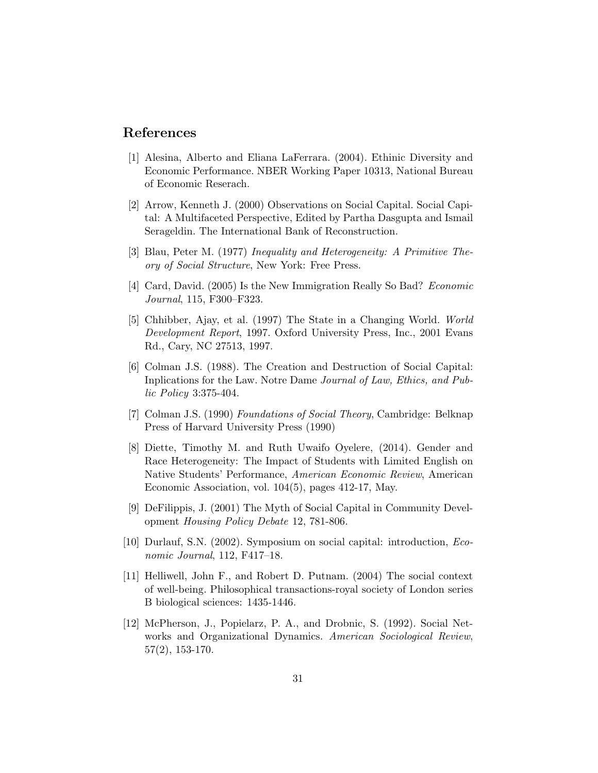### **References**

- [1] Alesina, Alberto and Eliana LaFerrara. (2004). Ethinic Diversity and Economic Performance. NBER Working Paper 10313, National Bureau of Economic Reserach.
- [2] Arrow, Kenneth J. (2000) Observations on Social Capital. Social Capital: A Multifaceted Perspective, Edited by Partha Dasgupta and Ismail Serageldin. The International Bank of Reconstruction.
- [3] Blau, Peter M. (1977) *Inequality and Heterogeneity: A Primitive Theory of Social Structure*, New York: Free Press.
- [4] Card, David. (2005) Is the New Immigration Really So Bad? *Economic Journal*, 115, F300–F323.
- [5] Chhibber, Ajay, et al. (1997) The State in a Changing World. *World Development Report*, 1997. Oxford University Press, Inc., 2001 Evans Rd., Cary, NC 27513, 1997.
- [6] Colman J.S. (1988). The Creation and Destruction of Social Capital: Inplications for the Law. Notre Dame *Journal of Law, Ethics, and Public Policy* 3:375-404.
- [7] Colman J.S. (1990) *Foundations of Social Theory*, Cambridge: Belknap Press of Harvard University Press (1990)
- [8] Diette, Timothy M. and Ruth Uwaifo Oyelere, (2014). Gender and Race Heterogeneity: The Impact of Students with Limited English on Native Students' Performance, *American Economic Review*, American Economic Association, vol. 104(5), pages 412-17, May.
- [9] DeFilippis, J. (2001) The Myth of Social Capital in Community Development *Housing Policy Debate* 12, 781-806.
- [10] Durlauf, S.N. (2002). Symposium on social capital: introduction, *Economic Journal*, 112, F417–18.
- [11] Helliwell, John F., and Robert D. Putnam. (2004) The social context of well-being. Philosophical transactions-royal society of London series B biological sciences: 1435-1446.
- [12] McPherson, J., Popielarz, P. A., and Drobnic, S. (1992). Social Networks and Organizational Dynamics. *American Sociological Review*, 57(2), 153-170.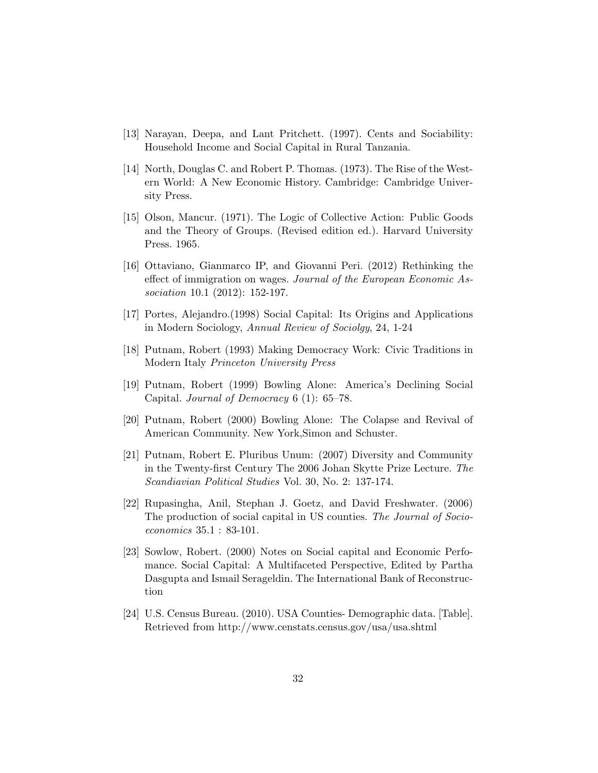- [13] Narayan, Deepa, and Lant Pritchett. (1997). Cents and Sociability: Household Income and Social Capital in Rural Tanzania.
- [14] North, Douglas C. and Robert P. Thomas. (1973). The Rise of the Western World: A New Economic History. Cambridge: Cambridge University Press.
- [15] Olson, Mancur. (1971). The Logic of Collective Action: Public Goods and the Theory of Groups. (Revised edition ed.). Harvard University Press. 1965.
- [16] Ottaviano, Gianmarco IP, and Giovanni Peri. (2012) Rethinking the effect of immigration on wages. *Journal of the European Economic Association* 10.1 (2012): 152-197.
- [17] Portes, Alejandro.(1998) Social Capital: Its Origins and Applications in Modern Sociology, *Annual Review of Sociolgy*, 24, 1-24
- [18] Putnam, Robert (1993) Making Democracy Work: Civic Traditions in Modern Italy *Princeton University Press*
- [19] Putnam, Robert (1999) Bowling Alone: America's Declining Social Capital. *Journal of Democracy* 6 (1): 65–78.
- [20] Putnam, Robert (2000) Bowling Alone: The Colapse and Revival of American Community. New York,Simon and Schuster.
- [21] Putnam, Robert E. Pluribus Unum: (2007) Diversity and Community in the Twenty-first Century The 2006 Johan Skytte Prize Lecture. *The Scandiavian Political Studies* Vol. 30, No. 2: 137-174.
- [22] Rupasingha, Anil, Stephan J. Goetz, and David Freshwater. (2006) The production of social capital in US counties. *The Journal of Socioeconomics* 35.1 : 83-101.
- [23] Sowlow, Robert. (2000) Notes on Social capital and Economic Perfomance. Social Capital: A Multifaceted Perspective, Edited by Partha Dasgupta and Ismail Serageldin. The International Bank of Reconstruction
- [24] U.S. Census Bureau. (2010). USA Counties- Demographic data. [Table]. Retrieved from http://www.censtats.census.gov/usa/usa.shtml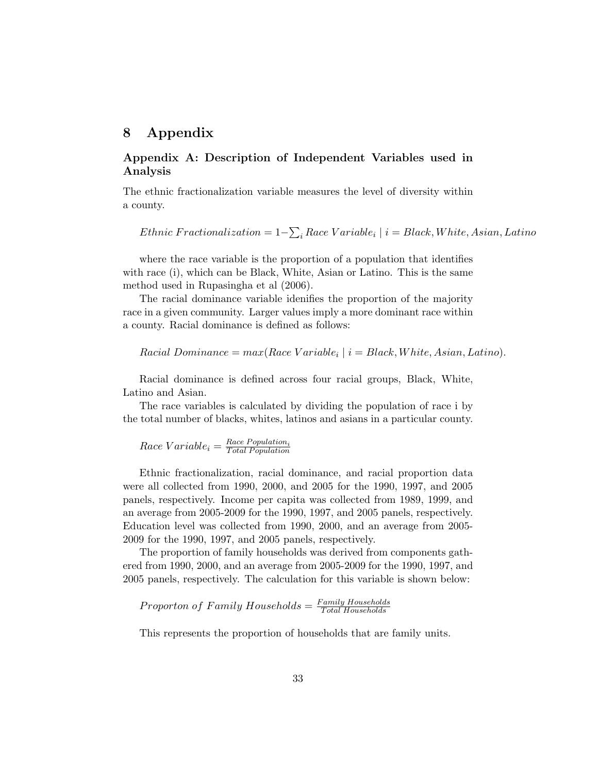# **8 Appendix**

### **Appendix A: Description of Independent Variables used in Analysis**

The ethnic fractionalization variable measures the level of diversity within a county.

*Ethnic F ractionalization* = 1*−* ∑ *<sup>i</sup> Race V ariable<sup>i</sup> | i* = *Black, W hite, Asian, Latino*

where the race variable is the proportion of a population that identifies with race (i), which can be Black, White, Asian or Latino. This is the same method used in Rupasingha et al (2006).

The racial dominance variable idenifies the proportion of the majority race in a given community. Larger values imply a more dominant race within a county. Racial dominance is defined as follows:

 $Racial Dominance = max(Race Variable_i | i = Black, White, Asian, Latino).$ 

Racial dominance is defined across four racial groups, Black, White, Latino and Asian.

The race variables is calculated by dividing the population of race i by the total number of blacks, whites, latinos and asians in a particular county.

$$
Race\ Variable_i = \frac{Race\ Population_i}{Total\ Population}
$$

Ethnic fractionalization, racial dominance, and racial proportion data were all collected from 1990, 2000, and 2005 for the 1990, 1997, and 2005 panels, respectively. Income per capita was collected from 1989, 1999, and an average from 2005-2009 for the 1990, 1997, and 2005 panels, respectively. Education level was collected from 1990, 2000, and an average from 2005- 2009 for the 1990, 1997, and 2005 panels, respectively.

The proportion of family households was derived from components gathered from 1990, 2000, and an average from 2005-2009 for the 1990, 1997, and 2005 panels, respectively. The calculation for this variable is shown below:

*P roporton of F amily Households* = *F amily Households T otal Households*

This represents the proportion of households that are family units.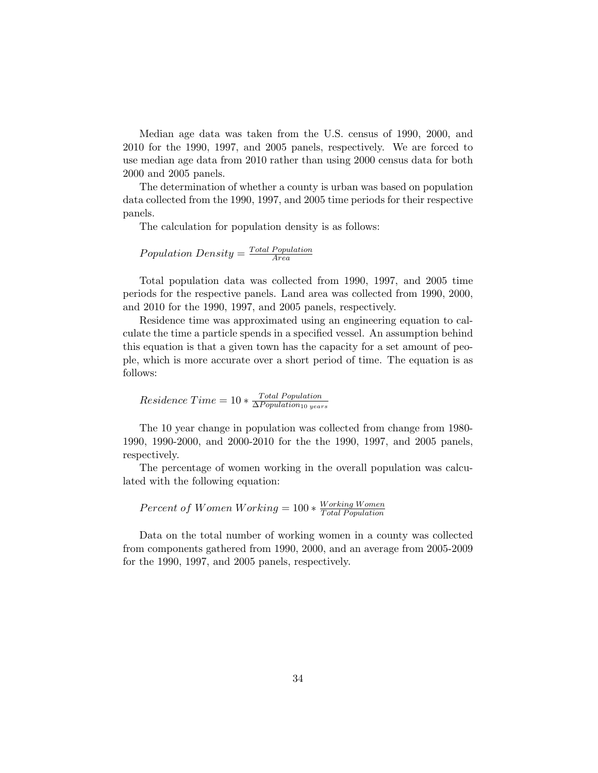Median age data was taken from the U.S. census of 1990, 2000, and 2010 for the 1990, 1997, and 2005 panels, respectively. We are forced to use median age data from 2010 rather than using 2000 census data for both 2000 and 2005 panels.

The determination of whether a county is urban was based on population data collected from the 1990, 1997, and 2005 time periods for their respective panels.

The calculation for population density is as follows:

Population Density = 
$$
\frac{Total Population}{Area}
$$

Total population data was collected from 1990, 1997, and 2005 time periods for the respective panels. Land area was collected from 1990, 2000, and 2010 for the 1990, 1997, and 2005 panels, respectively.

Residence time was approximated using an engineering equation to calculate the time a particle spends in a specified vessel. An assumption behind this equation is that a given town has the capacity for a set amount of people, which is more accurate over a short period of time. The equation is as follows:

 $Residence Time = 10 * \frac{Total Population}{\Delta Population_{10\ year}}$ ∆*P opulation*<sup>10</sup> *years*

The 10 year change in population was collected from change from 1980- 1990, 1990-2000, and 2000-2010 for the the 1990, 1997, and 2005 panels, respectively.

The percentage of women working in the overall population was calculated with the following equation:

*Percent of Women Working* = 100 *∗*  $\frac{Working\ Wormen}{Total\ Population}$ *T otal P opulation*

Data on the total number of working women in a county was collected from components gathered from 1990, 2000, and an average from 2005-2009 for the 1990, 1997, and 2005 panels, respectively.